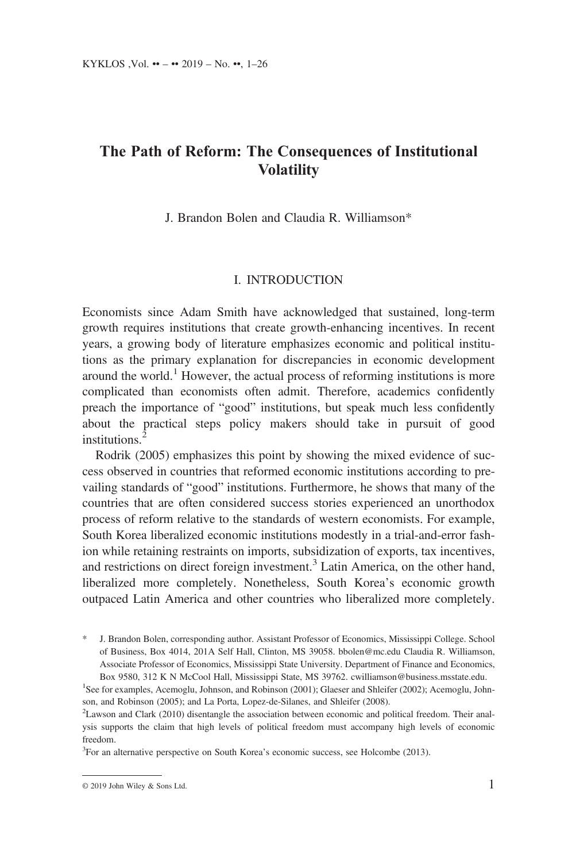# **The Path of Reform: The Consequences of Institutional Volatility**

# J. Brandon Bolen and Claudia R. Williamson\*

# I. INTRODUCTION

Economists since Adam Smith have acknowledged that sustained, long-term growth requires institutions that create growth-enhancing incentives. In recent years, a growing body of literature emphasizes economic and political institutions as the primary explanation for discrepancies in economic development around the world.<sup>1</sup> However, the actual process of reforming institutions is more complicated than economists often admit. Therefore, academics confidently preach the importance of "good" institutions, but speak much less confidently about the practical steps policy makers should take in pursuit of good institutions.<sup>2</sup>

Rodrik (2005) emphasizes this point by showing the mixed evidence of success observed in countries that reformed economic institutions according to prevailing standards of "good" institutions. Furthermore, he shows that many of the countries that are often considered success stories experienced an unorthodox process of reform relative to the standards of western economists. For example, South Korea liberalized economic institutions modestly in a trial-and-error fashion while retaining restraints on imports, subsidization of exports, tax incentives, and restrictions on direct foreign investment.<sup>3</sup> Latin America, on the other hand, liberalized more completely. Nonetheless, South Korea's economic growth outpaced Latin America and other countries who liberalized more completely.

\* J. Brandon Bolen, corresponding author. Assistant Professor of Economics, Mississippi College. School of Business, Box 4014, 201A Self Hall, Clinton, MS 39058. bbolen@mc.edu Claudia R. Williamson, Associate Professor of Economics, Mississippi State University. Department of Finance and Economics, Box 9580, 312 K N McCool Hall, Mississippi State, MS 39762. cwilliamson@business.msstate.edu.

<sup>1</sup>See for examples, Acemoglu, Johnson, and Robinson (2001); Glaeser and Shleifer (2002); Acemoglu, Johnson, and Robinson (2005); and La Porta, Lopez-de-Silanes, and Shleifer (2008).

<sup>2</sup>Lawson and Clark (2010) disentangle the association between economic and political freedom. Their analysis supports the claim that high levels of political freedom must accompany high levels of economic freedom.

<sup>3</sup>For an alternative perspective on South Korea's economic success, see Holcombe (2013).

 $\degree$  2019 John Wiley & Sons Ltd. 1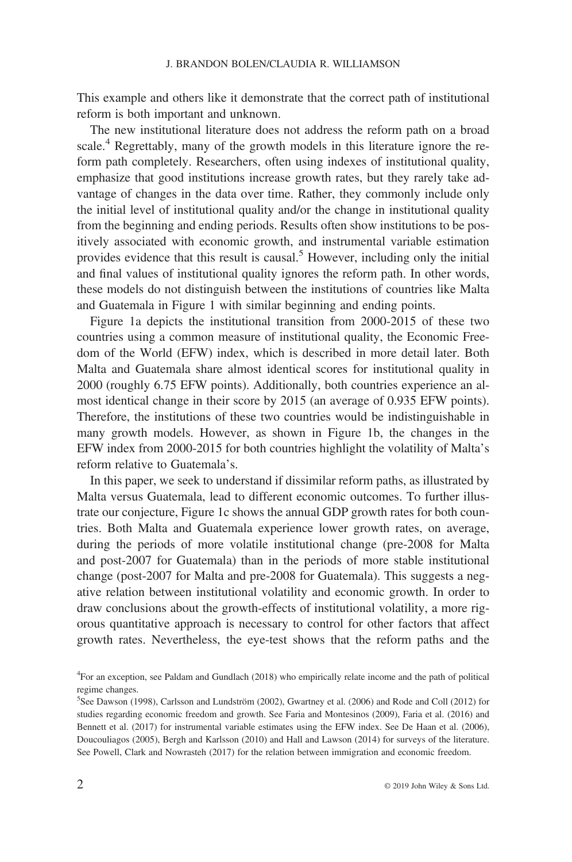This example and others like it demonstrate that the correct path of institutional reform is both important and unknown.

The new institutional literature does not address the reform path on a broad scale.<sup>4</sup> Regrettably, many of the growth models in this literature ignore the reform path completely. Researchers, often using indexes of institutional quality, emphasize that good institutions increase growth rates, but they rarely take advantage of changes in the data over time. Rather, they commonly include only the initial level of institutional quality and/or the change in institutional quality from the beginning and ending periods. Results often show institutions to be positively associated with economic growth, and instrumental variable estimation provides evidence that this result is causal.<sup>5</sup> However, including only the initial and final values of institutional quality ignores the reform path. In other words, these models do not distinguish between the institutions of countries like Malta and Guatemala in Figure 1 with similar beginning and ending points.

Figure 1a depicts the institutional transition from 2000-2015 of these two countries using a common measure of institutional quality, the Economic Freedom of the World (EFW) index, which is described in more detail later. Both Malta and Guatemala share almost identical scores for institutional quality in 2000 (roughly 6.75 EFW points). Additionally, both countries experience an almost identical change in their score by 2015 (an average of 0.935 EFW points). Therefore, the institutions of these two countries would be indistinguishable in many growth models. However, as shown in Figure 1b, the changes in the EFW index from 2000-2015 for both countries highlight the volatility of Malta's reform relative to Guatemala's.

In this paper, we seek to understand if dissimilar reform paths, as illustrated by Malta versus Guatemala, lead to different economic outcomes. To further illustrate our conjecture, Figure 1c shows the annual GDP growth rates for both countries. Both Malta and Guatemala experience lower growth rates, on average, during the periods of more volatile institutional change (pre-2008 for Malta and post-2007 for Guatemala) than in the periods of more stable institutional change (post-2007 for Malta and pre-2008 for Guatemala). This suggests a negative relation between institutional volatility and economic growth. In order to draw conclusions about the growth-effects of institutional volatility, a more rigorous quantitative approach is necessary to control for other factors that affect growth rates. Nevertheless, the eye-test shows that the reform paths and the

<sup>&</sup>lt;sup>4</sup>For an exception, see Paldam and Gundlach (2018) who empirically relate income and the path of political regime changes.

<sup>5</sup> See Dawson (1998), Carlsson and Lundström (2002), Gwartney et al. (2006) and Rode and Coll (2012) for studies regarding economic freedom and growth. See Faria and Montesinos (2009), Faria et al. (2016) and Bennett et al. (2017) for instrumental variable estimates using the EFW index. See De Haan et al. (2006), Doucouliagos (2005), Bergh and Karlsson (2010) and Hall and Lawson (2014) for surveys of the literature. See Powell, Clark and Nowrasteh (2017) for the relation between immigration and economic freedom.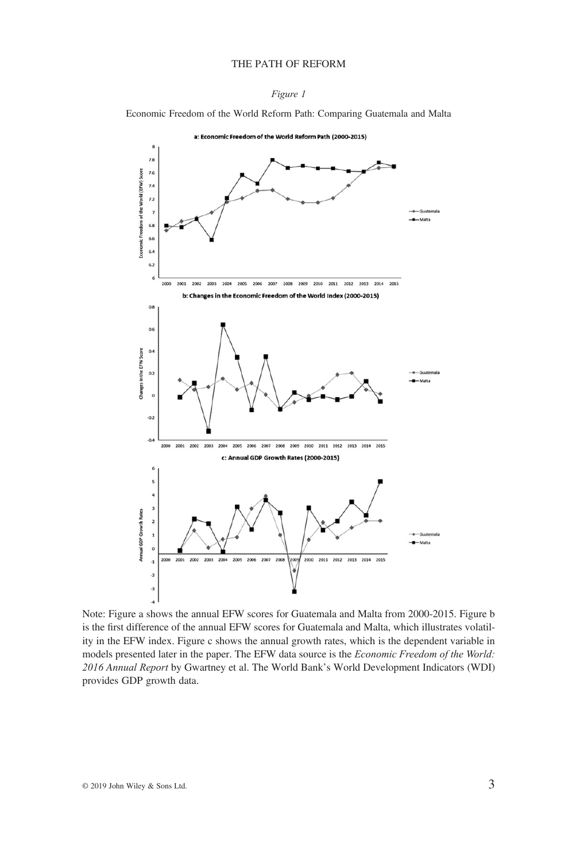#### *Figure 1*

Economic Freedom of the World Reform Path: Comparing Guatemala and Malta



Note: Figure a shows the annual EFW scores for Guatemala and Malta from 2000-2015. Figure b is the first difference of the annual EFW scores for Guatemala and Malta, which illustrates volatility in the EFW index. Figure c shows the annual growth rates, which is the dependent variable in models presented later in the paper. The EFW data source is the *Economic Freedom of the World: 2016 Annual Report* by Gwartney et al. The World Bank's World Development Indicators (WDI) provides GDP growth data.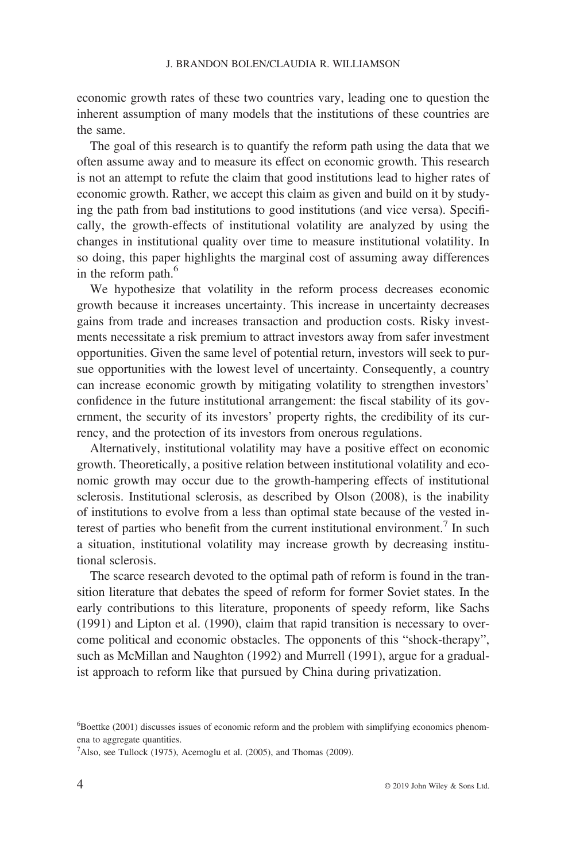economic growth rates of these two countries vary, leading one to question the inherent assumption of many models that the institutions of these countries are the same.

The goal of this research is to quantify the reform path using the data that we often assume away and to measure its effect on economic growth. This research is not an attempt to refute the claim that good institutions lead to higher rates of economic growth. Rather, we accept this claim as given and build on it by studying the path from bad institutions to good institutions (and vice versa). Specifically, the growth-effects of institutional volatility are analyzed by using the changes in institutional quality over time to measure institutional volatility. In so doing, this paper highlights the marginal cost of assuming away differences in the reform path.<sup>6</sup>

We hypothesize that volatility in the reform process decreases economic growth because it increases uncertainty. This increase in uncertainty decreases gains from trade and increases transaction and production costs. Risky investments necessitate a risk premium to attract investors away from safer investment opportunities. Given the same level of potential return, investors will seek to pursue opportunities with the lowest level of uncertainty. Consequently, a country can increase economic growth by mitigating volatility to strengthen investors' confidence in the future institutional arrangement: the fiscal stability of its government, the security of its investors' property rights, the credibility of its currency, and the protection of its investors from onerous regulations.

Alternatively, institutional volatility may have a positive effect on economic growth. Theoretically, a positive relation between institutional volatility and economic growth may occur due to the growth-hampering effects of institutional sclerosis. Institutional sclerosis, as described by Olson (2008), is the inability of institutions to evolve from a less than optimal state because of the vested interest of parties who benefit from the current institutional environment.<sup>7</sup> In such a situation, institutional volatility may increase growth by decreasing institutional sclerosis.

The scarce research devoted to the optimal path of reform is found in the transition literature that debates the speed of reform for former Soviet states. In the early contributions to this literature, proponents of speedy reform, like Sachs (1991) and Lipton et al. (1990), claim that rapid transition is necessary to overcome political and economic obstacles. The opponents of this "shock-therapy", such as McMillan and Naughton (1992) and Murrell (1991), argue for a gradualist approach to reform like that pursued by China during privatization.

<sup>&</sup>lt;sup>6</sup>Boettke (2001) discusses issues of economic reform and the problem with simplifying economics phenomena to aggregate quantities.

<sup>&</sup>lt;sup>7</sup>Also, see Tullock (1975), Acemoglu et al. (2005), and Thomas (2009).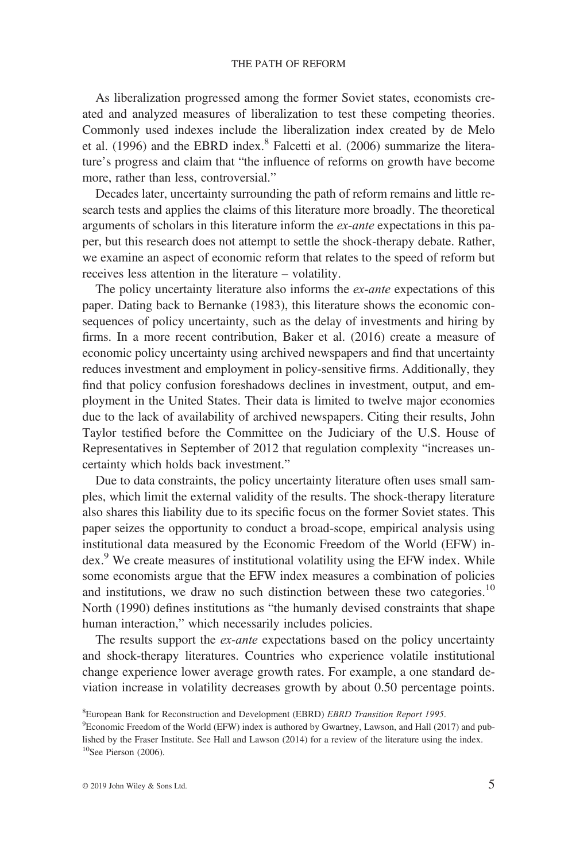As liberalization progressed among the former Soviet states, economists created and analyzed measures of liberalization to test these competing theories. Commonly used indexes include the liberalization index created by de Melo et al. (1996) and the EBRD index. $8$  Falcetti et al. (2006) summarize the literature's progress and claim that "the influence of reforms on growth have become more, rather than less, controversial."

Decades later, uncertainty surrounding the path of reform remains and little research tests and applies the claims of this literature more broadly. The theoretical arguments of scholars in this literature inform the *ex-ante* expectations in this paper, but this research does not attempt to settle the shock-therapy debate. Rather, we examine an aspect of economic reform that relates to the speed of reform but receives less attention in the literature – volatility.

The policy uncertainty literature also informs the *ex-ante* expectations of this paper. Dating back to Bernanke (1983), this literature shows the economic consequences of policy uncertainty, such as the delay of investments and hiring by firms. In a more recent contribution, Baker et al. (2016) create a measure of economic policy uncertainty using archived newspapers and find that uncertainty reduces investment and employment in policy-sensitive firms. Additionally, they find that policy confusion foreshadows declines in investment, output, and employment in the United States. Their data is limited to twelve major economies due to the lack of availability of archived newspapers. Citing their results, John Taylor testified before the Committee on the Judiciary of the U.S. House of Representatives in September of 2012 that regulation complexity "increases uncertainty which holds back investment."

Due to data constraints, the policy uncertainty literature often uses small samples, which limit the external validity of the results. The shock-therapy literature also shares this liability due to its specific focus on the former Soviet states. This paper seizes the opportunity to conduct a broad-scope, empirical analysis using institutional data measured by the Economic Freedom of the World (EFW) index.<sup>9</sup> We create measures of institutional volatility using the EFW index. While some economists argue that the EFW index measures a combination of policies and institutions, we draw no such distinction between these two categories.<sup>10</sup> North (1990) defines institutions as "the humanly devised constraints that shape human interaction," which necessarily includes policies.

The results support the *ex-ante* expectations based on the policy uncertainty and shock-therapy literatures. Countries who experience volatile institutional change experience lower average growth rates. For example, a one standard deviation increase in volatility decreases growth by about 0.50 percentage points.

<sup>8</sup> European Bank for Reconstruction and Development (EBRD) *EBRD Transition Report 1995*.

<sup>&</sup>lt;sup>9</sup> Economic Freedom of the World (EFW) index is authored by Gwartney, Lawson, and Hall (2017) and published by the Fraser Institute. See Hall and Lawson (2014) for a review of the literature using the index. <sup>10</sup>See Pierson (2006).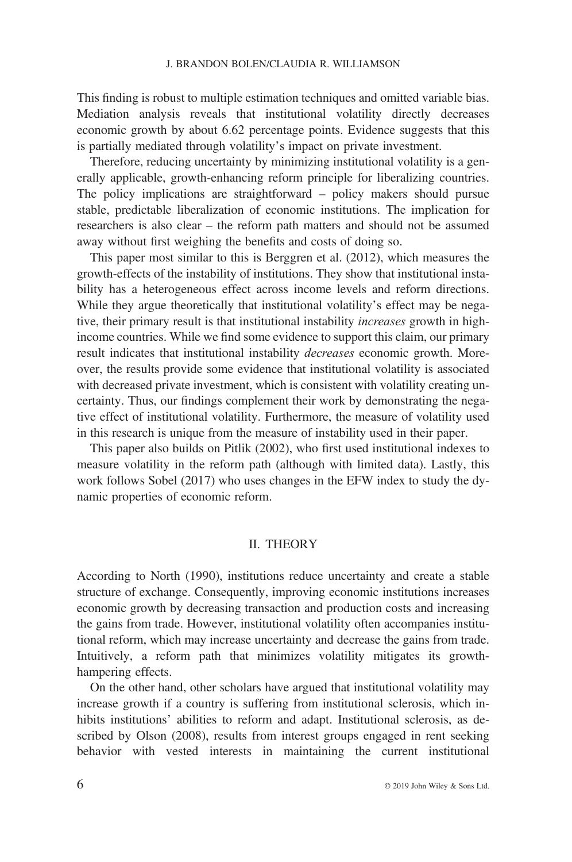This finding is robust to multiple estimation techniques and omitted variable bias. Mediation analysis reveals that institutional volatility directly decreases economic growth by about 6.62 percentage points. Evidence suggests that this is partially mediated through volatility's impact on private investment.

Therefore, reducing uncertainty by minimizing institutional volatility is a generally applicable, growth-enhancing reform principle for liberalizing countries. The policy implications are straightforward – policy makers should pursue stable, predictable liberalization of economic institutions. The implication for researchers is also clear – the reform path matters and should not be assumed away without first weighing the benefits and costs of doing so.

This paper most similar to this is Berggren et al. (2012), which measures the growth-effects of the instability of institutions. They show that institutional instability has a heterogeneous effect across income levels and reform directions. While they argue theoretically that institutional volatility's effect may be negative, their primary result is that institutional instability *increases* growth in highincome countries. While we find some evidence to support this claim, our primary result indicates that institutional instability *decreases* economic growth. Moreover, the results provide some evidence that institutional volatility is associated with decreased private investment, which is consistent with volatility creating uncertainty. Thus, our findings complement their work by demonstrating the negative effect of institutional volatility. Furthermore, the measure of volatility used in this research is unique from the measure of instability used in their paper.

This paper also builds on Pitlik (2002), who first used institutional indexes to measure volatility in the reform path (although with limited data). Lastly, this work follows Sobel (2017) who uses changes in the EFW index to study the dynamic properties of economic reform.

# II. THEORY

According to North (1990), institutions reduce uncertainty and create a stable structure of exchange. Consequently, improving economic institutions increases economic growth by decreasing transaction and production costs and increasing the gains from trade. However, institutional volatility often accompanies institutional reform, which may increase uncertainty and decrease the gains from trade. Intuitively, a reform path that minimizes volatility mitigates its growthhampering effects.

On the other hand, other scholars have argued that institutional volatility may increase growth if a country is suffering from institutional sclerosis, which inhibits institutions' abilities to reform and adapt. Institutional sclerosis, as described by Olson (2008), results from interest groups engaged in rent seeking behavior with vested interests in maintaining the current institutional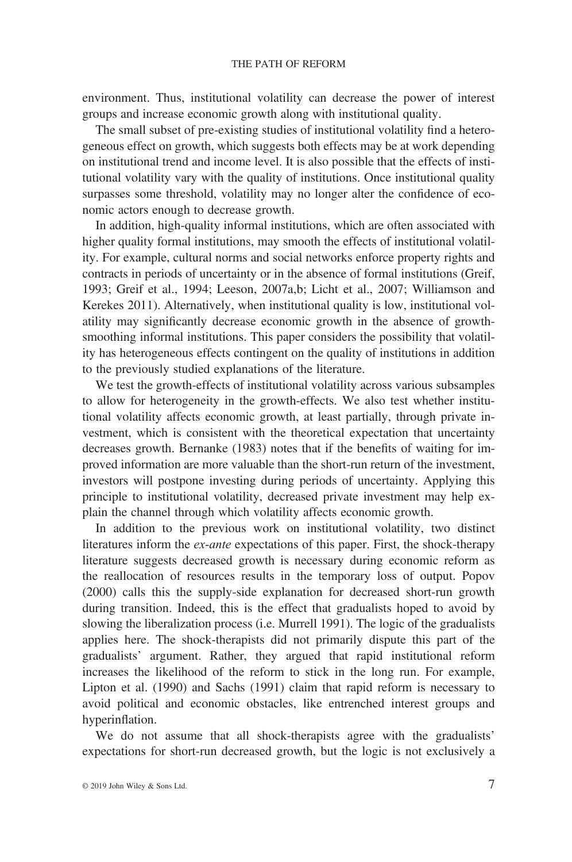environment. Thus, institutional volatility can decrease the power of interest groups and increase economic growth along with institutional quality.

The small subset of pre-existing studies of institutional volatility find a heterogeneous effect on growth, which suggests both effects may be at work depending on institutional trend and income level. It is also possible that the effects of institutional volatility vary with the quality of institutions. Once institutional quality surpasses some threshold, volatility may no longer alter the confidence of economic actors enough to decrease growth.

In addition, high-quality informal institutions, which are often associated with higher quality formal institutions, may smooth the effects of institutional volatility. For example, cultural norms and social networks enforce property rights and contracts in periods of uncertainty or in the absence of formal institutions (Greif, 1993; Greif et al., 1994; Leeson, 2007a,b; Licht et al., 2007; Williamson and Kerekes 2011). Alternatively, when institutional quality is low, institutional volatility may significantly decrease economic growth in the absence of growthsmoothing informal institutions. This paper considers the possibility that volatility has heterogeneous effects contingent on the quality of institutions in addition to the previously studied explanations of the literature.

We test the growth-effects of institutional volatility across various subsamples to allow for heterogeneity in the growth-effects. We also test whether institutional volatility affects economic growth, at least partially, through private investment, which is consistent with the theoretical expectation that uncertainty decreases growth. Bernanke (1983) notes that if the benefits of waiting for improved information are more valuable than the short-run return of the investment, investors will postpone investing during periods of uncertainty. Applying this principle to institutional volatility, decreased private investment may help explain the channel through which volatility affects economic growth.

In addition to the previous work on institutional volatility, two distinct literatures inform the *ex-ante* expectations of this paper. First, the shock-therapy literature suggests decreased growth is necessary during economic reform as the reallocation of resources results in the temporary loss of output. Popov (2000) calls this the supply-side explanation for decreased short-run growth during transition. Indeed, this is the effect that gradualists hoped to avoid by slowing the liberalization process (i.e. Murrell 1991). The logic of the gradualists applies here. The shock-therapists did not primarily dispute this part of the gradualists' argument. Rather, they argued that rapid institutional reform increases the likelihood of the reform to stick in the long run. For example, Lipton et al. (1990) and Sachs (1991) claim that rapid reform is necessary to avoid political and economic obstacles, like entrenched interest groups and hyperinflation.

We do not assume that all shock-therapists agree with the gradualists' expectations for short-run decreased growth, but the logic is not exclusively a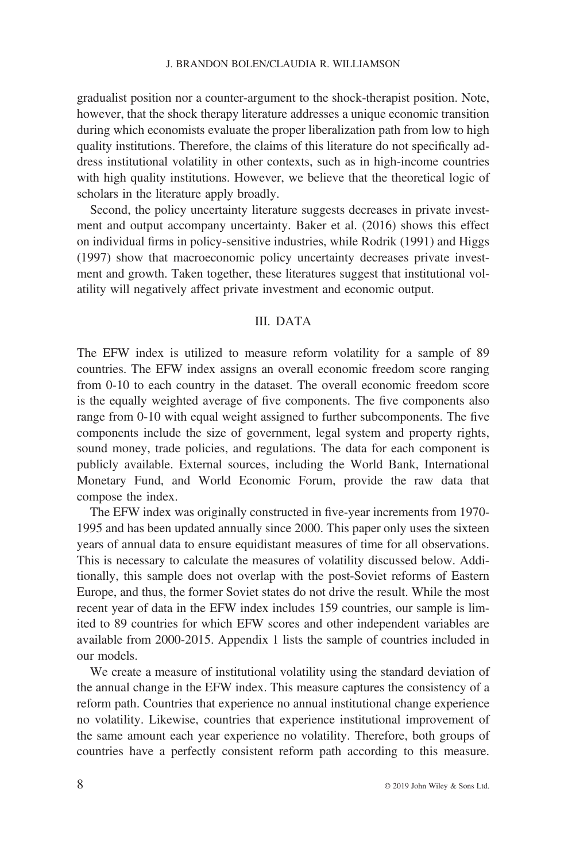gradualist position nor a counter-argument to the shock-therapist position. Note, however, that the shock therapy literature addresses a unique economic transition during which economists evaluate the proper liberalization path from low to high quality institutions. Therefore, the claims of this literature do not specifically address institutional volatility in other contexts, such as in high-income countries with high quality institutions. However, we believe that the theoretical logic of scholars in the literature apply broadly.

Second, the policy uncertainty literature suggests decreases in private investment and output accompany uncertainty. Baker et al. (2016) shows this effect on individual firms in policy-sensitive industries, while Rodrik (1991) and Higgs (1997) show that macroeconomic policy uncertainty decreases private investment and growth. Taken together, these literatures suggest that institutional volatility will negatively affect private investment and economic output.

# III. DATA

The EFW index is utilized to measure reform volatility for a sample of 89 countries. The EFW index assigns an overall economic freedom score ranging from 0-10 to each country in the dataset. The overall economic freedom score is the equally weighted average of five components. The five components also range from 0-10 with equal weight assigned to further subcomponents. The five components include the size of government, legal system and property rights, sound money, trade policies, and regulations. The data for each component is publicly available. External sources, including the World Bank, International Monetary Fund, and World Economic Forum, provide the raw data that compose the index.

The EFW index was originally constructed in five-year increments from 1970- 1995 and has been updated annually since 2000. This paper only uses the sixteen years of annual data to ensure equidistant measures of time for all observations. This is necessary to calculate the measures of volatility discussed below. Additionally, this sample does not overlap with the post-Soviet reforms of Eastern Europe, and thus, the former Soviet states do not drive the result. While the most recent year of data in the EFW index includes 159 countries, our sample is limited to 89 countries for which EFW scores and other independent variables are available from 2000-2015. Appendix 1 lists the sample of countries included in our models.

We create a measure of institutional volatility using the standard deviation of the annual change in the EFW index. This measure captures the consistency of a reform path. Countries that experience no annual institutional change experience no volatility. Likewise, countries that experience institutional improvement of the same amount each year experience no volatility. Therefore, both groups of countries have a perfectly consistent reform path according to this measure.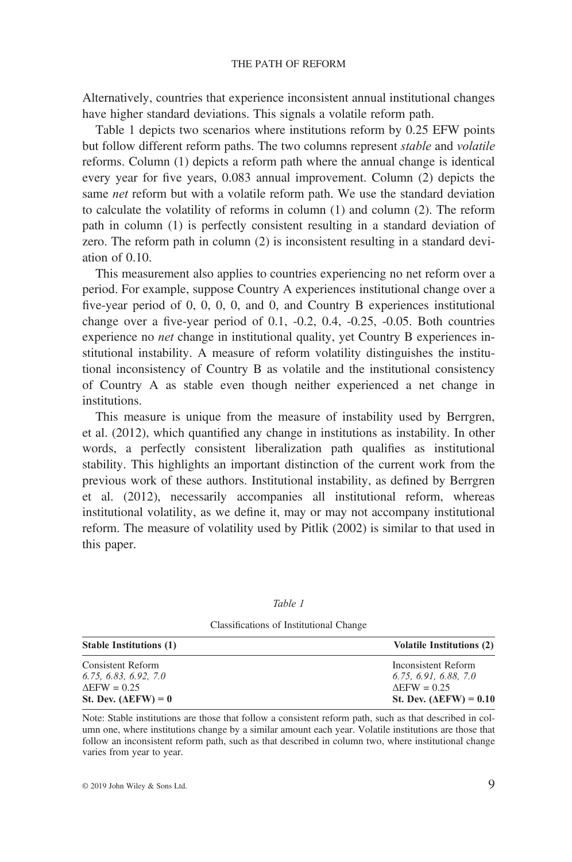Alternatively, countries that experience inconsistent annual institutional changes have higher standard deviations. This signals a volatile reform path.

Table 1 depicts two scenarios where institutions reform by 0.25 EFW points but follow different reform paths. The two columns represent *stable* and *volatile* reforms. Column (1) depicts a reform path where the annual change is identical every year for five years, 0.083 annual improvement. Column (2) depicts the same *net* reform but with a volatile reform path. We use the standard deviation to calculate the volatility of reforms in column (1) and column (2). The reform path in column (1) is perfectly consistent resulting in a standard deviation of zero. The reform path in column (2) is inconsistent resulting in a standard deviation of 0.10.

This measurement also applies to countries experiencing no net reform over a period. For example, suppose Country A experiences institutional change over a five-year period of 0, 0, 0, 0, and 0, and Country B experiences institutional change over a five-year period of 0.1, -0.2, 0.4, -0.25, -0.05. Both countries experience no *net* change in institutional quality, yet Country B experiences institutional instability. A measure of reform volatility distinguishes the institutional inconsistency of Country B as volatile and the institutional consistency of Country A as stable even though neither experienced a net change in institutions.

This measure is unique from the measure of instability used by Berrgren, et al. (2012), which quantified any change in institutions as instability. In other words, a perfectly consistent liberalization path qualifies as institutional stability. This highlights an important distinction of the current work from the previous work of these authors. Institutional instability, as defined by Berrgren et al. (2012), necessarily accompanies all institutional reform, whereas institutional volatility, as we define it, may or may not accompany institutional reform. The measure of volatility used by Pitlik (2002) is similar to that used in this paper.

| Classifications of Institutional Change |                                  |  |  |
|-----------------------------------------|----------------------------------|--|--|
| <b>Stable Institutions (1)</b>          | <b>Volatile Institutions (2)</b> |  |  |
| <b>Consistent Reform</b>                | Inconsistent Reform              |  |  |
| 6.75, 6.83, 6.92, 7.0                   | 6.75, 6.91, 6.88, 7.0            |  |  |
| $AEFW = 0.25$                           | $AEFW = 0.25$                    |  |  |
| St. Dev. ( $\Delta EFW$ ) = 0           | St. Dev. $(\Delta EFW) = 0.10$   |  |  |

| Table 1 |  |
|---------|--|
|         |  |

Classifications of Institutional Change

Note: Stable institutions are those that follow a consistent reform path, such as that described in column one, where institutions change by a similar amount each year. Volatile institutions are those that follow an inconsistent reform path, such as that described in column two, where institutional change varies from year to year.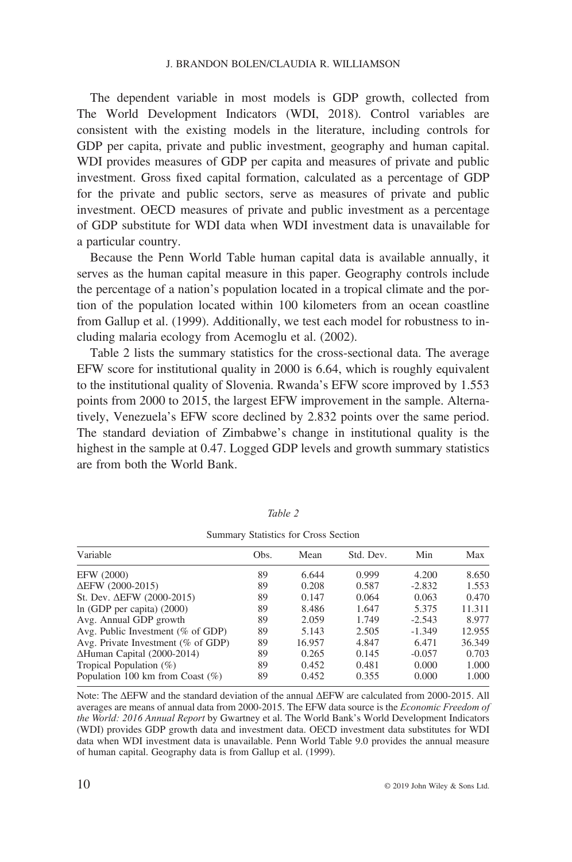The dependent variable in most models is GDP growth, collected from The World Development Indicators (WDI, 2018). Control variables are consistent with the existing models in the literature, including controls for GDP per capita, private and public investment, geography and human capital. WDI provides measures of GDP per capita and measures of private and public investment. Gross fixed capital formation, calculated as a percentage of GDP for the private and public sectors, serve as measures of private and public investment. OECD measures of private and public investment as a percentage of GDP substitute for WDI data when WDI investment data is unavailable for a particular country.

Because the Penn World Table human capital data is available annually, it serves as the human capital measure in this paper. Geography controls include the percentage of a nation's population located in a tropical climate and the portion of the population located within 100 kilometers from an ocean coastline from Gallup et al. (1999). Additionally, we test each model for robustness to including malaria ecology from Acemoglu et al. (2002).

Table 2 lists the summary statistics for the cross-sectional data. The average EFW score for institutional quality in 2000 is 6.64, which is roughly equivalent to the institutional quality of Slovenia. Rwanda's EFW score improved by 1.553 points from 2000 to 2015, the largest EFW improvement in the sample. Alternatively, Venezuela's EFW score declined by 2.832 points over the same period. The standard deviation of Zimbabwe's change in institutional quality is the highest in the sample at 0.47. Logged GDP levels and growth summary statistics are from both the World Bank.

| Variable                              | Obs. | Mean   | Std. Dev. | Min      | Max    |
|---------------------------------------|------|--------|-----------|----------|--------|
| EFW (2000)                            | 89   | 6.644  | 0.999     | 4.200    | 8.650  |
| ΔEFW (2000-2015)                      | 89   | 0.208  | 0.587     | $-2.832$ | 1.553  |
| St. Dev. $\Delta$ EFW (2000-2015)     | 89   | 0.147  | 0.064     | 0.063    | 0.470  |
| In $(GDP$ per capita) $(2000)$        | 89   | 8.486  | 1.647     | 5.375    | 11.311 |
| Avg. Annual GDP growth                | 89   | 2.059  | 1.749     | $-2.543$ | 8.977  |
| Avg. Public Investment (% of GDP)     | 89   | 5.143  | 2.505     | $-1.349$ | 12.955 |
| Avg. Private Investment ( $%$ of GDP) | 89   | 16.957 | 4.847     | 6.471    | 36.349 |
| ∆Human Capital (2000-2014)            | 89   | 0.265  | 0.145     | $-0.057$ | 0.703  |
| Tropical Population $(\%)$            | 89   | 0.452  | 0.481     | 0.000    | 1.000  |
| Population 100 km from Coast $(\%)$   | 89   | 0.452  | 0.355     | 0.000    | 1.000  |

*Table 2* Summary Statistics for Cross Section

Note: The ΔEFW and the standard deviation of the annual ΔEFW are calculated from 2000-2015. All averages are means of annual data from 2000-2015. The EFW data source is the *Economic Freedom of the World: 2016 Annual Report* by Gwartney et al. The World Bank's World Development Indicators (WDI) provides GDP growth data and investment data. OECD investment data substitutes for WDI data when WDI investment data is unavailable. Penn World Table 9.0 provides the annual measure of human capital. Geography data is from Gallup et al. (1999).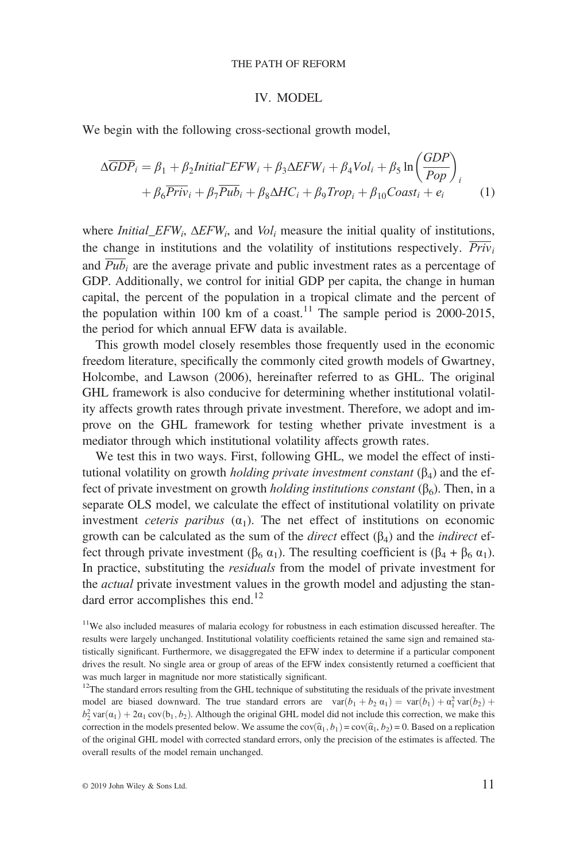# IV. MODEL

We begin with the following cross-sectional growth model,

$$
\Delta\overline{GDP}_i = \beta_1 + \beta_2 Initial^\dagger EFW_i + \beta_3 \Delta EFW_i + \beta_4 Vol_i + \beta_5 \ln\left(\frac{GDP}{Pop}\right)_i
$$
  
+  $\beta_6 \overline{Priv}_i + \beta_7 \overline{Pub}_i + \beta_8 \Delta HC_i + \beta_9 Trop_i + \beta_{10} Coast_i + e_i$  (1)

where *Initial*\_*EFWi*, *ΔEFWi*, and *Voli* measure the initial quality of institutions, the change in institutions and the volatility of institutions respectively.  $\overline{Priv_i}$ and  $\overline{Pub_i}$  are the average private and public investment rates as a percentage of GDP. Additionally, we control for initial GDP per capita, the change in human capital, the percent of the population in a tropical climate and the percent of the population within 100 km of a coast.<sup>11</sup> The sample period is  $2000-2015$ , the period for which annual EFW data is available.

This growth model closely resembles those frequently used in the economic freedom literature, specifically the commonly cited growth models of Gwartney, Holcombe, and Lawson (2006), hereinafter referred to as GHL. The original GHL framework is also conducive for determining whether institutional volatility affects growth rates through private investment. Therefore, we adopt and improve on the GHL framework for testing whether private investment is a mediator through which institutional volatility affects growth rates.

We test this in two ways. First, following GHL, we model the effect of institutional volatility on growth *holding private investment constant* (β<sub>4</sub>) and the effect of private investment on growth *holding institutions constant*  $(\beta_6)$ . Then, in a separate OLS model, we calculate the effect of institutional volatility on private investment *ceteris paribus*  $(\alpha_1)$ . The net effect of institutions on economic growth can be calculated as the sum of the *direct* effect  $(\beta_4)$  and the *indirect* effect through private investment ( $β<sub>6</sub> α<sub>1</sub>$ ). The resulting coefficient is ( $β<sub>4</sub> + β<sub>6</sub> α<sub>1</sub>$ ). In practice, substituting the *residuals* from the model of private investment for the *actual* private investment values in the growth model and adjusting the standard error accomplishes this end.<sup>12</sup>

 $11$ We also included measures of malaria ecology for robustness in each estimation discussed hereafter. The results were largely unchanged. Institutional volatility coefficients retained the same sign and remained statistically significant. Furthermore, we disaggregated the EFW index to determine if a particular component drives the result. No single area or group of areas of the EFW index consistently returned a coefficient that was much larger in magnitude nor more statistically significant.

<sup>&</sup>lt;sup>12</sup>The standard errors resulting from the GHL technique of substituting the residuals of the private investment model are biased downward. The true standard errors are  $var(b_1 + b_2 \alpha_1) = var(b_1) + \alpha_1^2 var(b_2) + \alpha_2^2 var(b_1)$  $b_2^2$  var $(\alpha_1) + 2\alpha_1 \text{ cov}(b_1, b_2)$ . Although the original GHL model did not include this correction, we make this correction in the models presented below. We assume the  $cov(\hat{a}_1, b_1) = cov(\hat{a}_1, b_2) = 0$ . Based on a replication of the original GHL model with corrected standard errors, only the precision of the estimates is affected. The overall results of the model remain unchanged.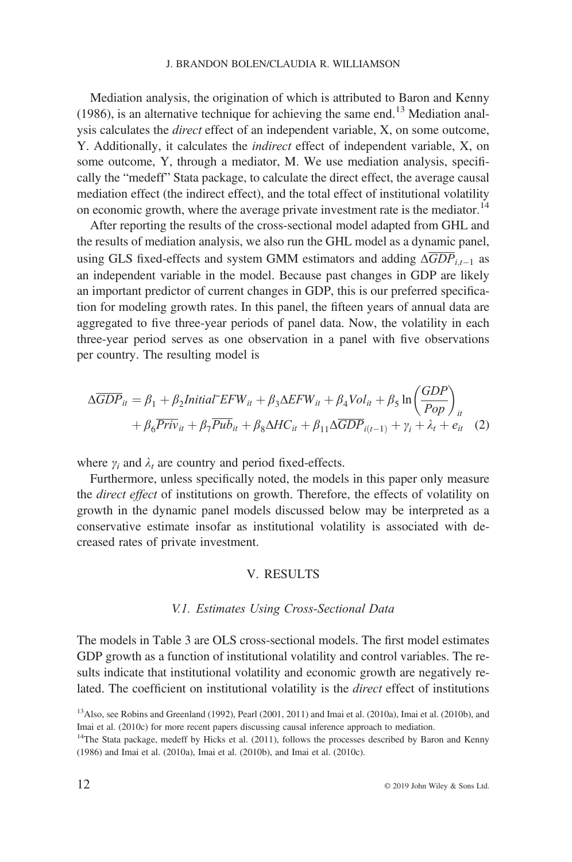Mediation analysis, the origination of which is attributed to Baron and Kenny (1986), is an alternative technique for achieving the same end.<sup>13</sup> Mediation analysis calculates the *direct* effect of an independent variable, X, on some outcome, Y. Additionally, it calculates the *indirect* effect of independent variable, X, on some outcome, Y, through a mediator, M. We use mediation analysis, specifically the "medeff" Stata package, to calculate the direct effect, the average causal mediation effect (the indirect effect), and the total effect of institutional volatility on economic growth, where the average private investment rate is the mediator.<sup>14</sup>

After reporting the results of the cross-sectional model adapted from GHL and the results of mediation analysis, we also run the GHL model as a dynamic panel, using GLS fixed-effects and system GMM estimators and adding *ΔGDPi;t*-<sup>1</sup> as an independent variable in the model. Because past changes in GDP are likely an important predictor of current changes in GDP, this is our preferred specification for modeling growth rates. In this panel, the fifteen years of annual data are aggregated to five three-year periods of panel data. Now, the volatility in each three-year period serves as one observation in a panel with five observations per country. The resulting model is

$$
\Delta\overline{GDP}_{it} = \beta_1 + \beta_2 Initial^{\dagger} EFW_{it} + \beta_3 \Delta EFW_{it} + \beta_4 Vol_{it} + \beta_5 \ln\left(\frac{GDP}{Pop}\right)_{it}
$$

$$
+ \beta_6 \overline{Priv}_{it} + \beta_7 \overline{Pub}_{it} + \beta_8 \Delta HC_{it} + \beta_{11} \Delta \overline{GDP}_{i(t-1)} + \gamma_i + \lambda_t + e_{it} \quad (2)
$$

where  $\gamma_i$  and  $\lambda_t$  are country and period fixed-effects.

Furthermore, unless specifically noted, the models in this paper only measure the *direct effect* of institutions on growth. Therefore, the effects of volatility on growth in the dynamic panel models discussed below may be interpreted as a conservative estimate insofar as institutional volatility is associated with decreased rates of private investment.

# V. RESULTS

### *V.1. Estimates Using Cross-Sectional Data*

The models in Table 3 are OLS cross-sectional models. The first model estimates GDP growth as a function of institutional volatility and control variables. The results indicate that institutional volatility and economic growth are negatively related. The coefficient on institutional volatility is the *direct* effect of institutions

<sup>13</sup>Also, see Robins and Greenland (1992), Pearl (2001, 2011) and Imai et al. (2010a), Imai et al. (2010b), and Imai et al. (2010c) for more recent papers discussing causal inference approach to mediation.

<sup>&</sup>lt;sup>14</sup>The Stata package, medeff by Hicks et al. (2011), follows the processes described by Baron and Kenny (1986) and Imai et al. (2010a), Imai et al. (2010b), and Imai et al. (2010c).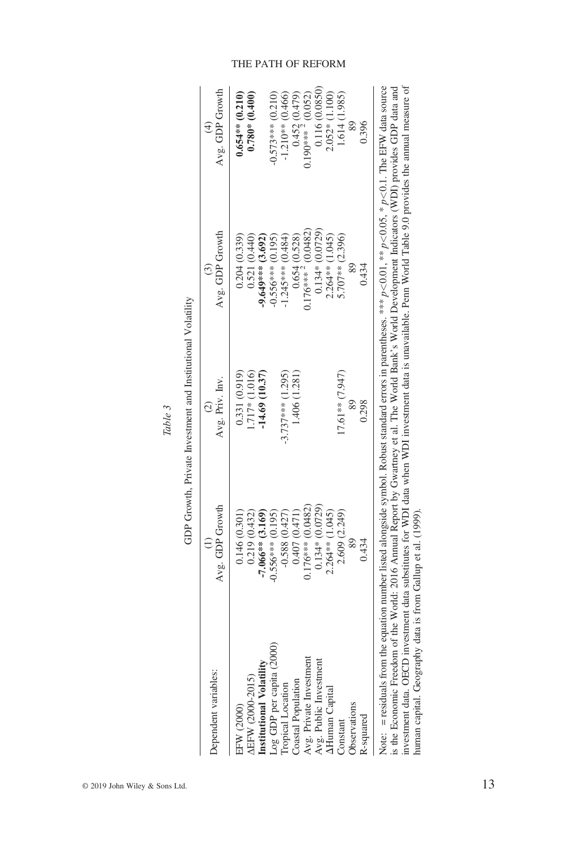| Dependent variables:                                        |                                                                                                                                                                                                                                                                                                                      |                     | $\ddot{\text{c}}$                |                    |
|-------------------------------------------------------------|----------------------------------------------------------------------------------------------------------------------------------------------------------------------------------------------------------------------------------------------------------------------------------------------------------------------|---------------------|----------------------------------|--------------------|
|                                                             | Avg. GDP Growth                                                                                                                                                                                                                                                                                                      | Avg. Priv. Inv.     | Avg. GDP Growth                  | Avg. GDP Growth    |
| EFW (2000)                                                  | 0.146(0.301)                                                                                                                                                                                                                                                                                                         | 0.331(0.919)        | 0.204(0.339)                     | $0.654***$ (0.210) |
| AEFW (2000-2015)                                            | 0.219(0.432)                                                                                                                                                                                                                                                                                                         | $1.717*(1.016)$     | 0.521(0.440)                     | $0.780* (0.400)$   |
| <b>Institutional Volatility</b>                             | $7.066**$ (3.169)                                                                                                                                                                                                                                                                                                    | $-14.69(10.37)$     | $-9.649***$ (3.692)              |                    |
| Log GDP per capita (2000)                                   | $-0.556***$ (0.195)                                                                                                                                                                                                                                                                                                  |                     | $0.556***$ (0.195)               | $0.573***$ (0.210) |
| <b>Tropical Location</b>                                    | $-0.588(0.427)$                                                                                                                                                                                                                                                                                                      | $-3.737***$ (1.295) | $1.245***$ (0.484)               | $-1.210**$ (0.466) |
| Coastal Population                                          | 0.407(0.471)                                                                                                                                                                                                                                                                                                         | 1.406 (1.281)       | 0.654(0.528)                     | 0.452(0.479)       |
| Avg. Private Investment                                     | $0.176***$ (0.0482)                                                                                                                                                                                                                                                                                                  |                     | $0.176***$ <sup>2</sup> (0.0482) | $0.190***$ (0.052) |
| Avg. Public Investment                                      | $0.134*(0.0729)$                                                                                                                                                                                                                                                                                                     |                     | $0.134*(0.0729)$                 | 0.116 (0.0850)     |
| AHuman Capital                                              | $2.264**$ (1.045)                                                                                                                                                                                                                                                                                                    |                     | 2.264** (1.045)                  | $2.052*$ (1.100)   |
| Constant                                                    | 2.609 (2.249)                                                                                                                                                                                                                                                                                                        | $17.61**$ (7.947)   | $5.707***$ (2.396)               | 1.614 (1.985)      |
| Observations                                                | 89                                                                                                                                                                                                                                                                                                                   | 89                  | 89                               | 89                 |
| R-squared                                                   | 0.434                                                                                                                                                                                                                                                                                                                | 0.298               | 0.434                            | 0.396              |
|                                                             | Note: = residuals from the equation number listed alongside symbol. Robust standard errors in parentheses. *** $p < 0.01$ , ** $p < 0.05$ , * $p < 0.1$ . The EFW data source                                                                                                                                        |                     |                                  |                    |
|                                                             | investment data. OECD investment data substitutes for WDI data when WDI investment data is unavailable. Penn World Table 9.0 provides the annual measure of<br>is the Economic Freedom of the World: 2016 Annual Report by Gwartney et al. The World Bank's World Development Indicators (WDI) provides GDP data and |                     |                                  |                    |
| human capital. Geography data is from Gallup et al. (1999). |                                                                                                                                                                                                                                                                                                                      |                     |                                  |                    |

© 2019 John Wiley & Sons Ltd. 13

*Table 3*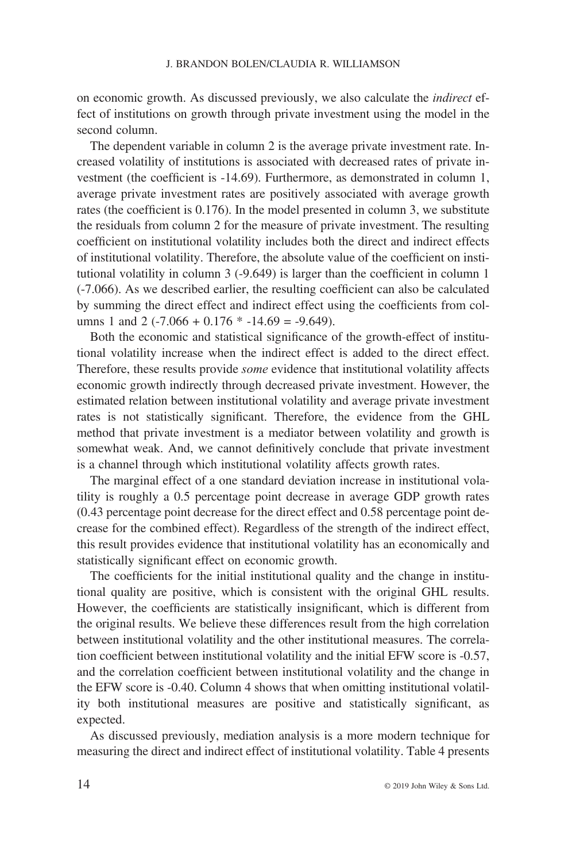on economic growth. As discussed previously, we also calculate the *indirect* effect of institutions on growth through private investment using the model in the second column.

The dependent variable in column 2 is the average private investment rate. Increased volatility of institutions is associated with decreased rates of private investment (the coefficient is -14.69). Furthermore, as demonstrated in column 1, average private investment rates are positively associated with average growth rates (the coefficient is 0.176). In the model presented in column 3, we substitute the residuals from column 2 for the measure of private investment. The resulting coefficient on institutional volatility includes both the direct and indirect effects of institutional volatility. Therefore, the absolute value of the coefficient on institutional volatility in column 3 (-9.649) is larger than the coefficient in column 1 (-7.066). As we described earlier, the resulting coefficient can also be calculated by summing the direct effect and indirect effect using the coefficients from columns 1 and 2  $(-7.066 + 0.176 * -14.69 = -9.649)$ .

Both the economic and statistical significance of the growth-effect of institutional volatility increase when the indirect effect is added to the direct effect. Therefore, these results provide *some* evidence that institutional volatility affects economic growth indirectly through decreased private investment. However, the estimated relation between institutional volatility and average private investment rates is not statistically significant. Therefore, the evidence from the GHL method that private investment is a mediator between volatility and growth is somewhat weak. And, we cannot definitively conclude that private investment is a channel through which institutional volatility affects growth rates.

The marginal effect of a one standard deviation increase in institutional volatility is roughly a 0.5 percentage point decrease in average GDP growth rates (0.43 percentage point decrease for the direct effect and 0.58 percentage point decrease for the combined effect). Regardless of the strength of the indirect effect, this result provides evidence that institutional volatility has an economically and statistically significant effect on economic growth.

The coefficients for the initial institutional quality and the change in institutional quality are positive, which is consistent with the original GHL results. However, the coefficients are statistically insignificant, which is different from the original results. We believe these differences result from the high correlation between institutional volatility and the other institutional measures. The correlation coefficient between institutional volatility and the initial EFW score is -0.57, and the correlation coefficient between institutional volatility and the change in the EFW score is -0.40. Column 4 shows that when omitting institutional volatility both institutional measures are positive and statistically significant, as expected.

As discussed previously, mediation analysis is a more modern technique for measuring the direct and indirect effect of institutional volatility. Table 4 presents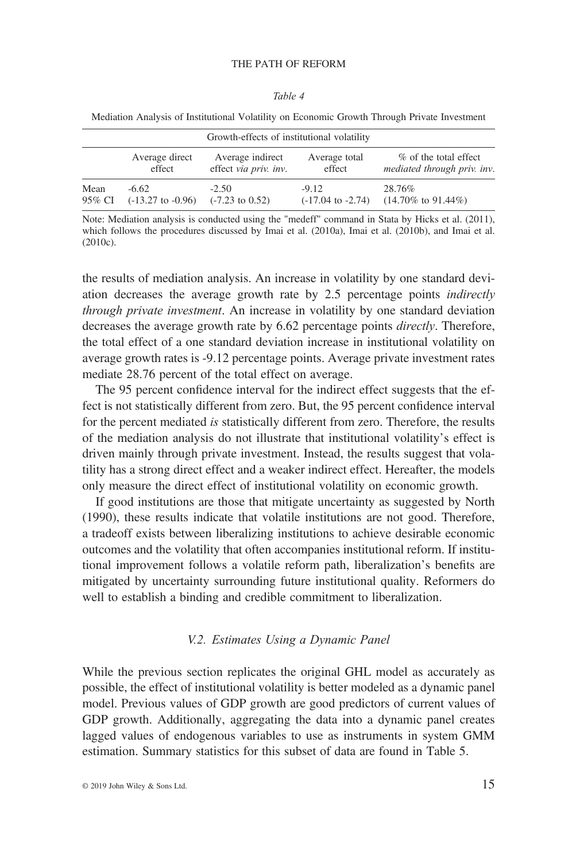#### *Table 4*

|        | Growth-effects of institutional volatility |                            |                              |                                 |  |
|--------|--------------------------------------------|----------------------------|------------------------------|---------------------------------|--|
|        | Average direct                             | Average indirect           | Average total                | % of the total effect           |  |
|        | effect                                     | effect via priv. inv.      | effect                       | mediated through priv. inv.     |  |
| Mean   | $-6.62$                                    | $-2.50$                    | $-9.12$                      | 28.76%                          |  |
| 95% CI | $(-13.27 \text{ to } -0.96)$               | $(-7.23 \text{ to } 0.52)$ | $(-17.04 \text{ to } -2.74)$ | $(14.70\% \text{ to } 91.44\%)$ |  |

Mediation Analysis of Institutional Volatility on Economic Growth Through Private Investment

Note: Mediation analysis is conducted using the "medeff" command in Stata by Hicks et al. (2011), which follows the procedures discussed by Imai et al. (2010a), Imai et al. (2010b), and Imai et al. (2010c).

the results of mediation analysis. An increase in volatility by one standard deviation decreases the average growth rate by 2.5 percentage points *indirectly through private investment*. An increase in volatility by one standard deviation decreases the average growth rate by 6.62 percentage points *directly*. Therefore, the total effect of a one standard deviation increase in institutional volatility on average growth rates is -9.12 percentage points. Average private investment rates mediate 28.76 percent of the total effect on average.

The 95 percent confidence interval for the indirect effect suggests that the effect is not statistically different from zero. But, the 95 percent confidence interval for the percent mediated *is* statistically different from zero. Therefore, the results of the mediation analysis do not illustrate that institutional volatility's effect is driven mainly through private investment. Instead, the results suggest that volatility has a strong direct effect and a weaker indirect effect. Hereafter, the models only measure the direct effect of institutional volatility on economic growth.

If good institutions are those that mitigate uncertainty as suggested by North (1990), these results indicate that volatile institutions are not good. Therefore, a tradeoff exists between liberalizing institutions to achieve desirable economic outcomes and the volatility that often accompanies institutional reform. If institutional improvement follows a volatile reform path, liberalization's benefits are mitigated by uncertainty surrounding future institutional quality. Reformers do well to establish a binding and credible commitment to liberalization.

# *V.2. Estimates Using a Dynamic Panel*

While the previous section replicates the original GHL model as accurately as possible, the effect of institutional volatility is better modeled as a dynamic panel model. Previous values of GDP growth are good predictors of current values of GDP growth. Additionally, aggregating the data into a dynamic panel creates lagged values of endogenous variables to use as instruments in system GMM estimation. Summary statistics for this subset of data are found in Table 5.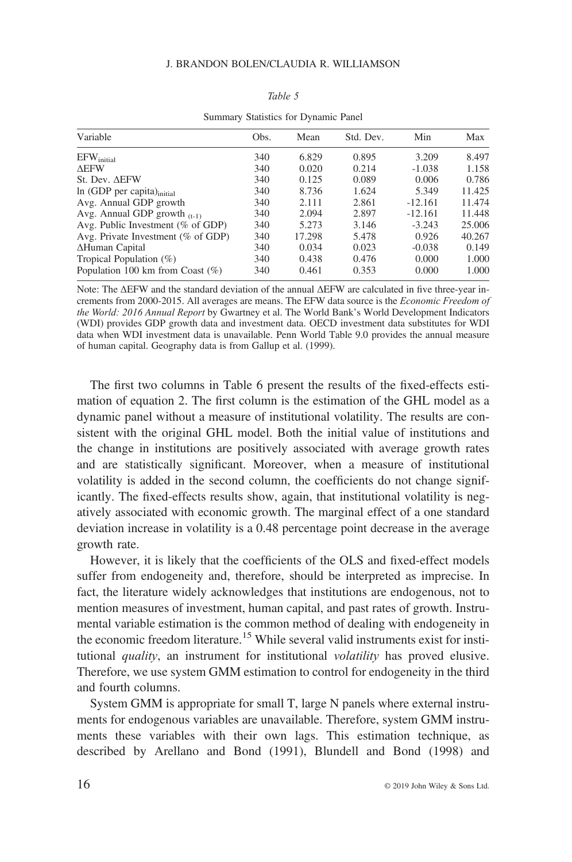| Variable                               | Obs. | Mean   | Std. Dev. | Min       | Max    |
|----------------------------------------|------|--------|-----------|-----------|--------|
| EFW <sub>initial</sub>                 | 340  | 6.829  | 0.895     | 3.209     | 8.497  |
| <b>AEFW</b>                            | 340  | 0.020  | 0.214     | $-1.038$  | 1.158  |
| St. Dev. AEFW                          | 340  | 0.125  | 0.089     | 0.006     | 0.786  |
| In (GDP per capita) $_{initial}$       | 340  | 8.736  | 1.624     | 5.349     | 11.425 |
| Avg. Annual GDP growth                 | 340  | 2.111  | 2.861     | $-12.161$ | 11.474 |
| Avg. Annual GDP growth $_{(t-1)}$      | 340  | 2.094  | 2.897     | $-12.161$ | 11.448 |
| Avg. Public Investment ( $%$ of GDP)   | 340  | 5.273  | 3.146     | $-3.243$  | 25.006 |
| Avg. Private Investment ( $\%$ of GDP) | 340  | 17.298 | 5.478     | 0.926     | 40.267 |
| <b>AHuman Capital</b>                  | 340  | 0.034  | 0.023     | $-0.038$  | 0.149  |
| Tropical Population $(\%)$             | 340  | 0.438  | 0.476     | 0.000     | 1.000  |
| Population 100 km from Coast $(\%)$    | 340  | 0.461  | 0.353     | 0.000     | 1.000  |
|                                        |      |        |           |           |        |

#### *Table 5*

Summary Statistics for Dynamic Panel

Note: The ΔEFW and the standard deviation of the annual ΔEFW are calculated in five three-year increments from 2000-2015. All averages are means. The EFW data source is the *Economic Freedom of the World: 2016 Annual Report* by Gwartney et al. The World Bank's World Development Indicators (WDI) provides GDP growth data and investment data. OECD investment data substitutes for WDI data when WDI investment data is unavailable. Penn World Table 9.0 provides the annual measure of human capital. Geography data is from Gallup et al. (1999).

The first two columns in Table 6 present the results of the fixed-effects estimation of equation 2. The first column is the estimation of the GHL model as a dynamic panel without a measure of institutional volatility. The results are consistent with the original GHL model. Both the initial value of institutions and the change in institutions are positively associated with average growth rates and are statistically significant. Moreover, when a measure of institutional volatility is added in the second column, the coefficients do not change significantly. The fixed-effects results show, again, that institutional volatility is negatively associated with economic growth. The marginal effect of a one standard deviation increase in volatility is a 0.48 percentage point decrease in the average growth rate.

However, it is likely that the coefficients of the OLS and fixed-effect models suffer from endogeneity and, therefore, should be interpreted as imprecise. In fact, the literature widely acknowledges that institutions are endogenous, not to mention measures of investment, human capital, and past rates of growth. Instrumental variable estimation is the common method of dealing with endogeneity in the economic freedom literature.<sup>15</sup> While several valid instruments exist for institutional *quality*, an instrument for institutional *volatility* has proved elusive. Therefore, we use system GMM estimation to control for endogeneity in the third and fourth columns.

System GMM is appropriate for small T, large N panels where external instruments for endogenous variables are unavailable. Therefore, system GMM instruments these variables with their own lags. This estimation technique, as described by Arellano and Bond (1991), Blundell and Bond (1998) and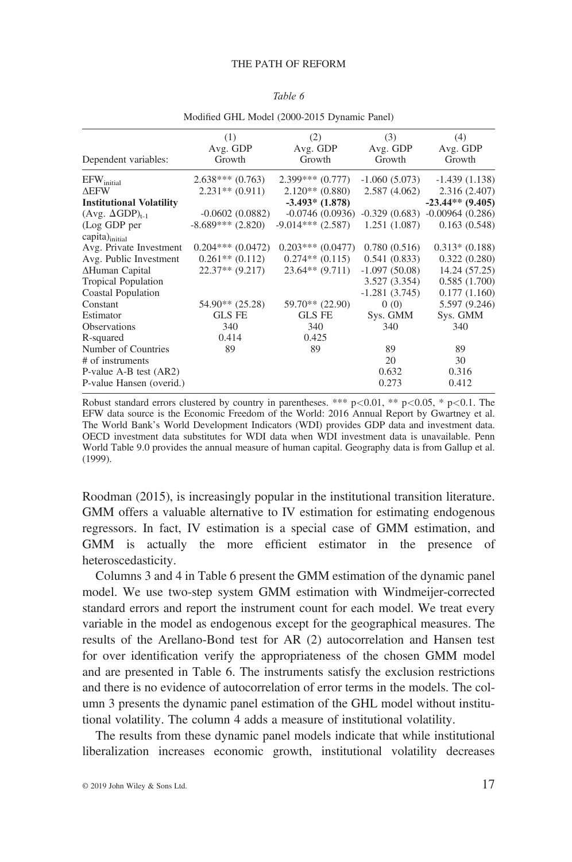#### *Table 6*

| Dependent variables:                                                                          | (1)<br>Avg. GDP<br>Growth                | (2)<br>Avg. GDP<br>Growth                                     | (3)<br>Avg. GDP<br>Growth                        | (4)<br>Avg. GDP<br>Growth                               |
|-----------------------------------------------------------------------------------------------|------------------------------------------|---------------------------------------------------------------|--------------------------------------------------|---------------------------------------------------------|
| EFW <sub>initial</sub><br>∆EFW                                                                | $2.638***(0.763)$<br>$2.231**$ (0.911)   | $2.399***(0.777)$<br>$2.120**$ (0.880)                        | $-1.060(5.073)$<br>2.587(4.062)                  | $-1.439(1.138)$<br>2.316 (2.407)                        |
| <b>Institutional Volatility</b><br>$(Avg. \triangle GDP)_{t-1}$<br>(Log GDP per               | $-0.0602(0.0882)$<br>$-8.689***$ (2.820) | $-3.493*$ (1.878)<br>$-0.0746(0.0936)$<br>$-9.014***$ (2.587) | $-0.329(0.683)$<br>1.251(1.087)                  | $-23.44**$ (9.405)<br>$-0.00964(0.286)$<br>0.163(0.548) |
| $capita)$ <sub>initial</sub><br>Avg. Private Investment                                       | $0.204***(0.0472)$                       | $0.203***(0.0477)$                                            | 0.780(0.516)                                     | $0.313*(0.188)$                                         |
| Avg. Public Investment<br>∆Human Capital<br><b>Tropical Population</b>                        | $0.261**$ (0.112)<br>$22.37**$ (9.217)   | $0.274**$ (0.115)<br>$23.64**$ (9.711)                        | 0.541(0.833)<br>$-1.097(50.08)$<br>3.527 (3.354) | 0.322(0.280)<br>14.24 (57.25)<br>0.585(1.700)           |
| <b>Coastal Population</b><br>Constant                                                         | 54.90** (25.28)                          | 59.70** (22.90)                                               | $-1.281(3.745)$<br>0(0)                          | 0.177(1.160)<br>5.597 (9.246)                           |
| Estimator<br><b>Observations</b><br>R-squared                                                 | GLS FE<br>340<br>0.414                   | <b>GLS FE</b><br>340<br>0.425                                 | Sys. GMM<br>340                                  | Sys. GMM<br>340                                         |
| Number of Countries<br># of instruments<br>P-value A-B test (AR2)<br>P-value Hansen (overid.) | 89                                       | 89                                                            | 89<br>20<br>0.632<br>0.273                       | 89<br>30<br>0.316<br>0.412                              |
|                                                                                               |                                          |                                                               |                                                  |                                                         |

Modified GHL Model (2000-2015 Dynamic Panel)

Robust standard errors clustered by country in parentheses. \*\*\* p*<*0.01, \*\* p*<*0.05, \* p*<*0.1. The EFW data source is the Economic Freedom of the World: 2016 Annual Report by Gwartney et al. The World Bank's World Development Indicators (WDI) provides GDP data and investment data. OECD investment data substitutes for WDI data when WDI investment data is unavailable. Penn World Table 9.0 provides the annual measure of human capital. Geography data is from Gallup et al. (1999).

Roodman (2015), is increasingly popular in the institutional transition literature. GMM offers a valuable alternative to IV estimation for estimating endogenous regressors. In fact, IV estimation is a special case of GMM estimation, and GMM is actually the more efficient estimator in the presence of heteroscedasticity.

Columns 3 and 4 in Table 6 present the GMM estimation of the dynamic panel model. We use two-step system GMM estimation with Windmeijer-corrected standard errors and report the instrument count for each model. We treat every variable in the model as endogenous except for the geographical measures. The results of the Arellano-Bond test for AR (2) autocorrelation and Hansen test for over identification verify the appropriateness of the chosen GMM model and are presented in Table 6. The instruments satisfy the exclusion restrictions and there is no evidence of autocorrelation of error terms in the models. The column 3 presents the dynamic panel estimation of the GHL model without institutional volatility. The column 4 adds a measure of institutional volatility.

The results from these dynamic panel models indicate that while institutional liberalization increases economic growth, institutional volatility decreases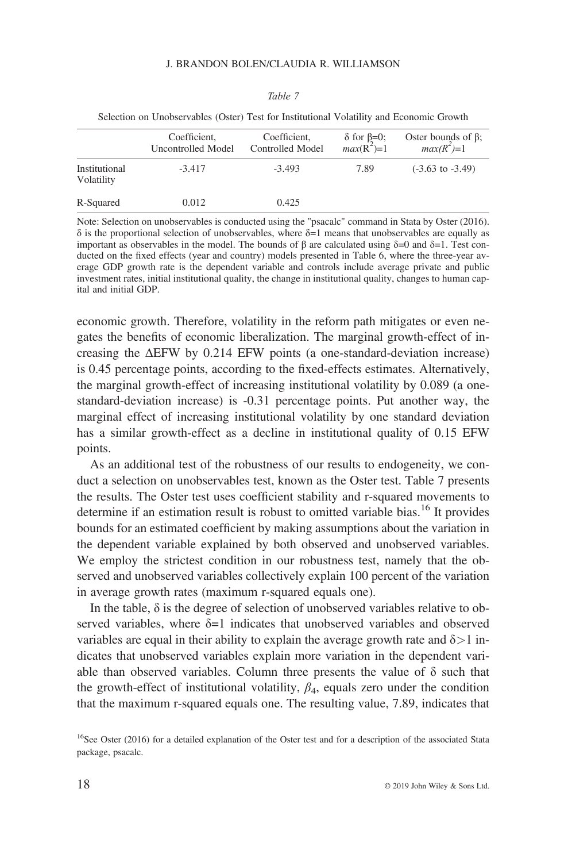### *Table 7*

|                             | Coefficient,<br>Uncontrolled Model | Coefficient,<br>Controlled Model | $\delta$ for $\beta=0$ ;<br>$max(R^2)=1$ | Oster bounds of $\beta$ ;<br>$max(R^2)=1$ |
|-----------------------------|------------------------------------|----------------------------------|------------------------------------------|-------------------------------------------|
| Institutional<br>Volatility | $-3.417$                           | $-3.493$                         | 7.89                                     | $(-3.63 \text{ to } -3.49)$               |
| R-Squared                   | 0.012                              | 0.425                            |                                          |                                           |

Selection on Unobservables (Oster) Test for Institutional Volatility and Economic Growth

Note: Selection on unobservables is conducted using the "psacalc" command in Stata by Oster (2016).  $δ$  is the proportional selection of unobservables, where  $δ=1$  means that unobservables are equally as important as observables in the model. The bounds of β are calculated using  $\delta$ =0 and  $\delta$ =1. Test conducted on the fixed effects (year and country) models presented in Table 6, where the three-year average GDP growth rate is the dependent variable and controls include average private and public investment rates, initial institutional quality, the change in institutional quality, changes to human capital and initial GDP.

economic growth. Therefore, volatility in the reform path mitigates or even negates the benefits of economic liberalization. The marginal growth-effect of increasing the ΔEFW by 0.214 EFW points (a one-standard-deviation increase) is 0.45 percentage points, according to the fixed-effects estimates. Alternatively, the marginal growth-effect of increasing institutional volatility by 0.089 (a onestandard-deviation increase) is -0.31 percentage points. Put another way, the marginal effect of increasing institutional volatility by one standard deviation has a similar growth-effect as a decline in institutional quality of 0.15 EFW points.

As an additional test of the robustness of our results to endogeneity, we conduct a selection on unobservables test, known as the Oster test. Table 7 presents the results. The Oster test uses coefficient stability and r-squared movements to determine if an estimation result is robust to omitted variable bias.<sup>16</sup> It provides bounds for an estimated coefficient by making assumptions about the variation in the dependent variable explained by both observed and unobserved variables. We employ the strictest condition in our robustness test, namely that the observed and unobserved variables collectively explain 100 percent of the variation in average growth rates (maximum r-squared equals one).

In the table,  $\delta$  is the degree of selection of unobserved variables relative to observed variables, where  $\delta=1$  indicates that unobserved variables and observed variables are equal in their ability to explain the average growth rate and δ*>*1 indicates that unobserved variables explain more variation in the dependent variable than observed variables. Column three presents the value of  $\delta$  such that the growth-effect of institutional volatility,  $\beta_4$ , equals zero under the condition that the maximum r-squared equals one. The resulting value, 7.89, indicates that

<sup>&</sup>lt;sup>16</sup>See Oster (2016) for a detailed explanation of the Oster test and for a description of the associated Stata package, psacalc.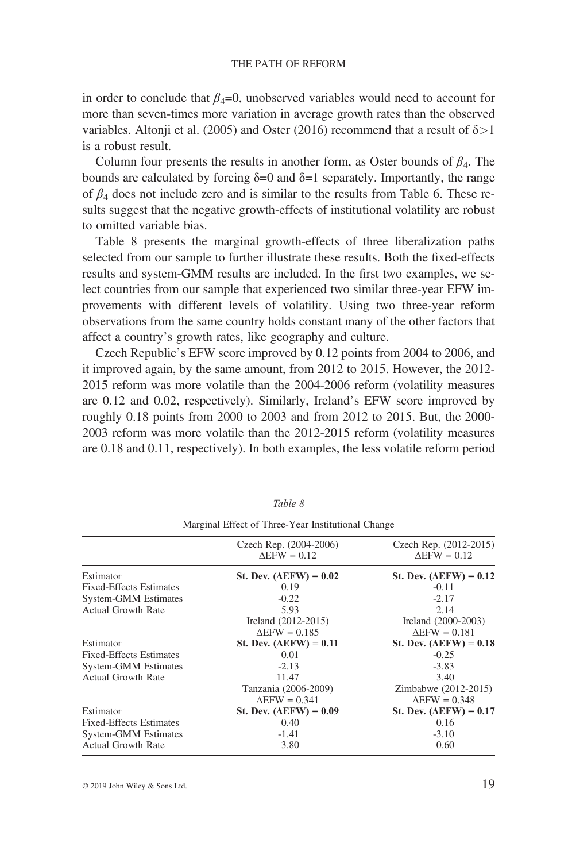in order to conclude that  $\beta_4=0$ , unobserved variables would need to account for more than seven-times more variation in average growth rates than the observed variables. Altonji et al. (2005) and Oster (2016) recommend that a result of δ*>*1 is a robust result.

Column four presents the results in another form, as Oster bounds of *β*4. The bounds are calculated by forcing  $\delta = 0$  and  $\delta = 1$  separately. Importantly, the range of *β*<sup>4</sup> does not include zero and is similar to the results from Table 6. These results suggest that the negative growth-effects of institutional volatility are robust to omitted variable bias.

Table 8 presents the marginal growth-effects of three liberalization paths selected from our sample to further illustrate these results. Both the fixed-effects results and system-GMM results are included. In the first two examples, we select countries from our sample that experienced two similar three-year EFW improvements with different levels of volatility. Using two three-year reform observations from the same country holds constant many of the other factors that affect a country's growth rates, like geography and culture.

Czech Republic's EFW score improved by 0.12 points from 2004 to 2006, and it improved again, by the same amount, from 2012 to 2015. However, the 2012- 2015 reform was more volatile than the 2004-2006 reform (volatility measures are 0.12 and 0.02, respectively). Similarly, Ireland's EFW score improved by roughly 0.18 points from 2000 to 2003 and from 2012 to 2015. But, the 2000- 2003 reform was more volatile than the 2012-2015 reform (volatility measures are 0.18 and 0.11, respectively). In both examples, the less volatile reform period

|                                | <b><i>Prime Enter of Three Teal modulumal Change</i></b> |                                         |
|--------------------------------|----------------------------------------------------------|-----------------------------------------|
|                                | Czech Rep. (2004-2006)<br>$AEFW = 0.12$                  | Czech Rep. (2012-2015)<br>$AEFW = 0.12$ |
| Estimator                      | St. Dev. $(\Delta EFW) = 0.02$                           | St. Dev. $(\Delta EFW) = 0.12$          |
| <b>Fixed-Effects Estimates</b> | 0.19                                                     | $-0.11$                                 |
| <b>System-GMM Estimates</b>    | $-0.22$                                                  | $-2.17$                                 |
| <b>Actual Growth Rate</b>      | 5.93                                                     | 2.14                                    |
|                                | Ireland $(2012-2015)$                                    | Ireland (2000-2003)                     |
|                                | $\Delta$ EFW = 0.185                                     | $\Delta$ EFW = 0.181                    |
| Estimator                      | St. Dev. $(\Delta EFW) = 0.11$                           | St. Dev. $(\Delta EFW) = 0.18$          |
| <b>Fixed-Effects Estimates</b> | 0.01                                                     | $-0.25$                                 |
| <b>System-GMM Estimates</b>    | $-2.13$                                                  | $-3.83$                                 |
| <b>Actual Growth Rate</b>      | 11.47                                                    | 3.40                                    |
|                                | Tanzania (2006-2009)                                     | Zimbabwe (2012-2015)                    |
|                                | $\Delta$ EFW = 0.341                                     | $\Delta$ EFW = 0.348                    |
| Estimator                      | St. Dev. $(AEFW) = 0.09$                                 | St. Dev. $(\Delta EFW) = 0.17$          |
| <b>Fixed-Effects Estimates</b> | 0.40                                                     | 0.16                                    |
| <b>System-GMM Estimates</b>    | $-1.41$                                                  | $-3.10$                                 |
| <b>Actual Growth Rate</b>      | 3.80                                                     | 0.60                                    |

|  | ani<br>$\cdot$ |  |  |
|--|----------------|--|--|
|--|----------------|--|--|

Marginal Effect of Three-Year Institutional Change

 $\circ$  2019 John Wiley & Sons Ltd.  $19$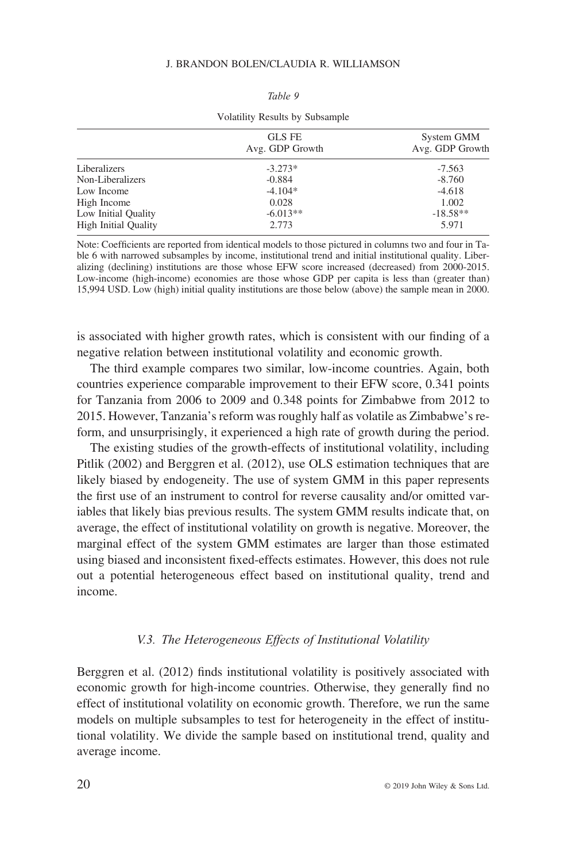### *Table 9*

|                      | GLS FE<br>Avg. GDP Growth | System GMM<br>Avg. GDP Growth |
|----------------------|---------------------------|-------------------------------|
| Liberalizers         | $-3.273*$                 | $-7.563$                      |
| Non-Liberalizers     | $-0.884$                  | $-8.760$                      |
| Low Income           | $-4.104*$                 | $-4.618$                      |
| High Income          | 0.028                     | 1.002                         |
| Low Initial Quality  | $-6.013**$                | $-18.58**$                    |
| High Initial Quality | 2.773                     | 5.971                         |

Volatility Results by Subsample

Note: Coefficients are reported from identical models to those pictured in columns two and four in Table 6 with narrowed subsamples by income, institutional trend and initial institutional quality. Liberalizing (declining) institutions are those whose EFW score increased (decreased) from 2000-2015. Low-income (high-income) economies are those whose GDP per capita is less than (greater than) 15,994 USD. Low (high) initial quality institutions are those below (above) the sample mean in 2000.

is associated with higher growth rates, which is consistent with our finding of a negative relation between institutional volatility and economic growth.

The third example compares two similar, low-income countries. Again, both countries experience comparable improvement to their EFW score, 0.341 points for Tanzania from 2006 to 2009 and 0.348 points for Zimbabwe from 2012 to 2015. However, Tanzania's reform was roughly half as volatile as Zimbabwe's reform, and unsurprisingly, it experienced a high rate of growth during the period.

The existing studies of the growth-effects of institutional volatility, including Pitlik (2002) and Berggren et al. (2012), use OLS estimation techniques that are likely biased by endogeneity. The use of system GMM in this paper represents the first use of an instrument to control for reverse causality and/or omitted variables that likely bias previous results. The system GMM results indicate that, on average, the effect of institutional volatility on growth is negative. Moreover, the marginal effect of the system GMM estimates are larger than those estimated using biased and inconsistent fixed-effects estimates. However, this does not rule out a potential heterogeneous effect based on institutional quality, trend and income.

# *V.3. The Heterogeneous Effects of Institutional Volatility*

Berggren et al. (2012) finds institutional volatility is positively associated with economic growth for high-income countries. Otherwise, they generally find no effect of institutional volatility on economic growth. Therefore, we run the same models on multiple subsamples to test for heterogeneity in the effect of institutional volatility. We divide the sample based on institutional trend, quality and average income.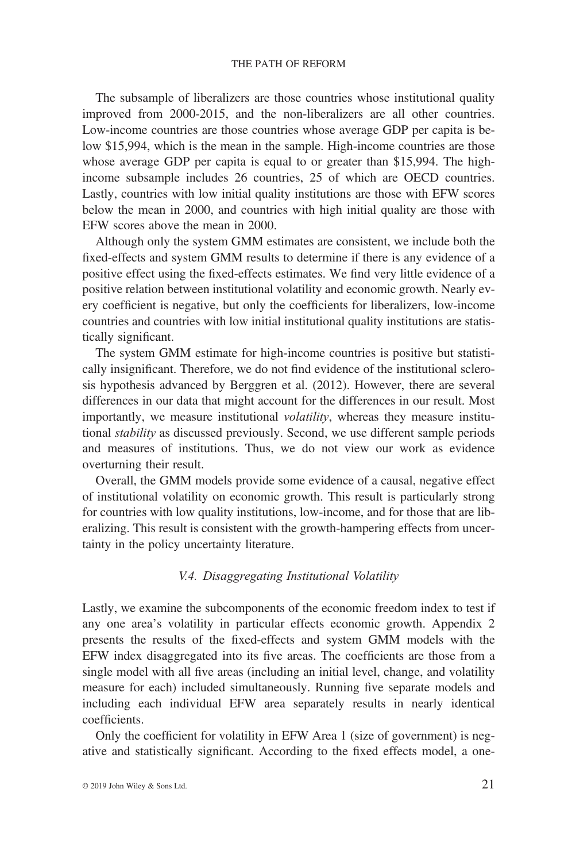The subsample of liberalizers are those countries whose institutional quality improved from 2000-2015, and the non-liberalizers are all other countries. Low-income countries are those countries whose average GDP per capita is below \$15,994, which is the mean in the sample. High-income countries are those whose average GDP per capita is equal to or greater than \$15,994. The highincome subsample includes 26 countries, 25 of which are OECD countries. Lastly, countries with low initial quality institutions are those with EFW scores below the mean in 2000, and countries with high initial quality are those with EFW scores above the mean in 2000.

Although only the system GMM estimates are consistent, we include both the fixed-effects and system GMM results to determine if there is any evidence of a positive effect using the fixed-effects estimates. We find very little evidence of a positive relation between institutional volatility and economic growth. Nearly every coefficient is negative, but only the coefficients for liberalizers, low-income countries and countries with low initial institutional quality institutions are statistically significant.

The system GMM estimate for high-income countries is positive but statistically insignificant. Therefore, we do not find evidence of the institutional sclerosis hypothesis advanced by Berggren et al. (2012). However, there are several differences in our data that might account for the differences in our result. Most importantly, we measure institutional *volatility*, whereas they measure institutional *stability* as discussed previously. Second, we use different sample periods and measures of institutions. Thus, we do not view our work as evidence overturning their result.

Overall, the GMM models provide some evidence of a causal, negative effect of institutional volatility on economic growth. This result is particularly strong for countries with low quality institutions, low-income, and for those that are liberalizing. This result is consistent with the growth-hampering effects from uncertainty in the policy uncertainty literature.

# *V.4. Disaggregating Institutional Volatility*

Lastly, we examine the subcomponents of the economic freedom index to test if any one area's volatility in particular effects economic growth. Appendix 2 presents the results of the fixed-effects and system GMM models with the EFW index disaggregated into its five areas. The coefficients are those from a single model with all five areas (including an initial level, change, and volatility measure for each) included simultaneously. Running five separate models and including each individual EFW area separately results in nearly identical coefficients.

Only the coefficient for volatility in EFW Area 1 (size of government) is negative and statistically significant. According to the fixed effects model, a one-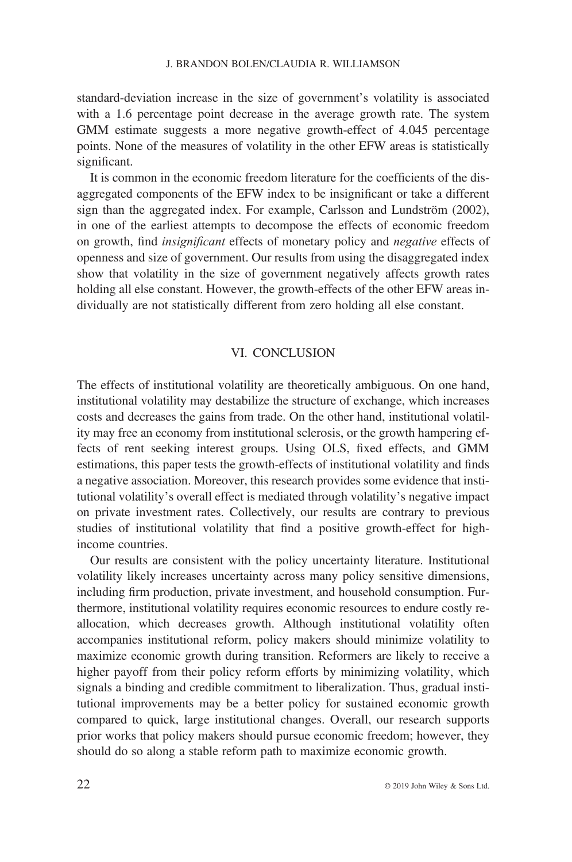standard-deviation increase in the size of government's volatility is associated with a 1.6 percentage point decrease in the average growth rate. The system GMM estimate suggests a more negative growth-effect of 4.045 percentage points. None of the measures of volatility in the other EFW areas is statistically significant.

It is common in the economic freedom literature for the coefficients of the disaggregated components of the EFW index to be insignificant or take a different sign than the aggregated index. For example, Carlsson and Lundström (2002), in one of the earliest attempts to decompose the effects of economic freedom on growth, find *insignificant* effects of monetary policy and *negative* effects of openness and size of government. Our results from using the disaggregated index show that volatility in the size of government negatively affects growth rates holding all else constant. However, the growth-effects of the other EFW areas individually are not statistically different from zero holding all else constant.

# VI. CONCLUSION

The effects of institutional volatility are theoretically ambiguous. On one hand, institutional volatility may destabilize the structure of exchange, which increases costs and decreases the gains from trade. On the other hand, institutional volatility may free an economy from institutional sclerosis, or the growth hampering effects of rent seeking interest groups. Using OLS, fixed effects, and GMM estimations, this paper tests the growth-effects of institutional volatility and finds a negative association. Moreover, this research provides some evidence that institutional volatility's overall effect is mediated through volatility's negative impact on private investment rates. Collectively, our results are contrary to previous studies of institutional volatility that find a positive growth-effect for highincome countries.

Our results are consistent with the policy uncertainty literature. Institutional volatility likely increases uncertainty across many policy sensitive dimensions, including firm production, private investment, and household consumption. Furthermore, institutional volatility requires economic resources to endure costly reallocation, which decreases growth. Although institutional volatility often accompanies institutional reform, policy makers should minimize volatility to maximize economic growth during transition. Reformers are likely to receive a higher payoff from their policy reform efforts by minimizing volatility, which signals a binding and credible commitment to liberalization. Thus, gradual institutional improvements may be a better policy for sustained economic growth compared to quick, large institutional changes. Overall, our research supports prior works that policy makers should pursue economic freedom; however, they should do so along a stable reform path to maximize economic growth.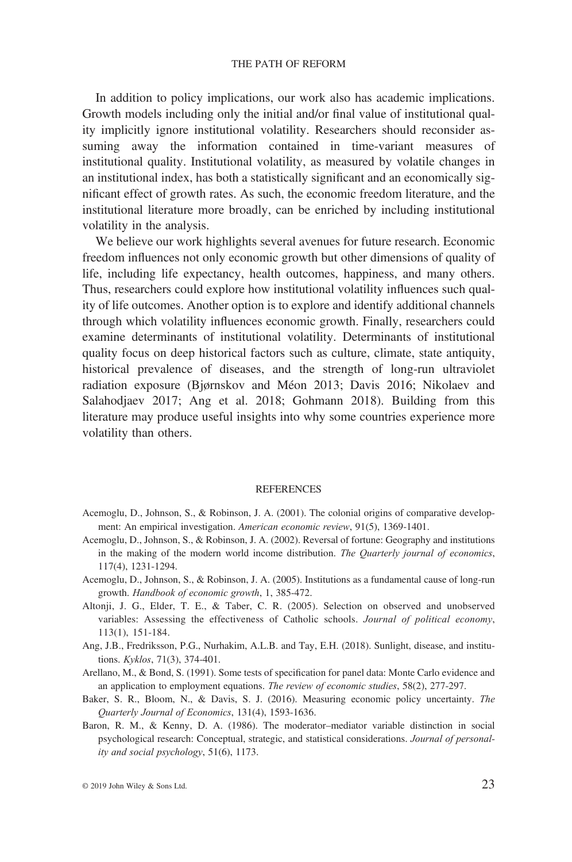In addition to policy implications, our work also has academic implications. Growth models including only the initial and/or final value of institutional quality implicitly ignore institutional volatility. Researchers should reconsider assuming away the information contained in time-variant measures of institutional quality. Institutional volatility, as measured by volatile changes in an institutional index, has both a statistically significant and an economically significant effect of growth rates. As such, the economic freedom literature, and the institutional literature more broadly, can be enriched by including institutional volatility in the analysis.

We believe our work highlights several avenues for future research. Economic freedom influences not only economic growth but other dimensions of quality of life, including life expectancy, health outcomes, happiness, and many others. Thus, researchers could explore how institutional volatility influences such quality of life outcomes. Another option is to explore and identify additional channels through which volatility influences economic growth. Finally, researchers could examine determinants of institutional volatility. Determinants of institutional quality focus on deep historical factors such as culture, climate, state antiquity, historical prevalence of diseases, and the strength of long-run ultraviolet radiation exposure (Bjørnskov and Méon 2013; Davis 2016; Nikolaev and Salahodjaev 2017; Ang et al. 2018; Gohmann 2018). Building from this literature may produce useful insights into why some countries experience more volatility than others.

#### **REFERENCES**

- Acemoglu, D., Johnson, S., & Robinson, J. A. (2001). The colonial origins of comparative development: An empirical investigation. *American economic review*, 91(5), 1369-1401.
- Acemoglu, D., Johnson, S., & Robinson, J. A. (2002). Reversal of fortune: Geography and institutions in the making of the modern world income distribution. *The Quarterly journal of economics*, 117(4), 1231-1294.
- Acemoglu, D., Johnson, S., & Robinson, J. A. (2005). Institutions as a fundamental cause of long-run growth. *Handbook of economic growth*, 1, 385-472.
- Altonji, J. G., Elder, T. E., & Taber, C. R. (2005). Selection on observed and unobserved variables: Assessing the effectiveness of Catholic schools. *Journal of political economy*, 113(1), 151-184.
- Ang, J.B., Fredriksson, P.G., Nurhakim, A.L.B. and Tay, E.H. (2018). Sunlight, disease, and institutions. *Kyklos*, 71(3), 374-401.
- Arellano, M., & Bond, S. (1991). Some tests of specification for panel data: Monte Carlo evidence and an application to employment equations. *The review of economic studies*, 58(2), 277-297.
- Baker, S. R., Bloom, N., & Davis, S. J. (2016). Measuring economic policy uncertainty. *The Quarterly Journal of Economics*, 131(4), 1593-1636.
- Baron, R. M., & Kenny, D. A. (1986). The moderator–mediator variable distinction in social psychological research: Conceptual, strategic, and statistical considerations. *Journal of personality and social psychology*, 51(6), 1173.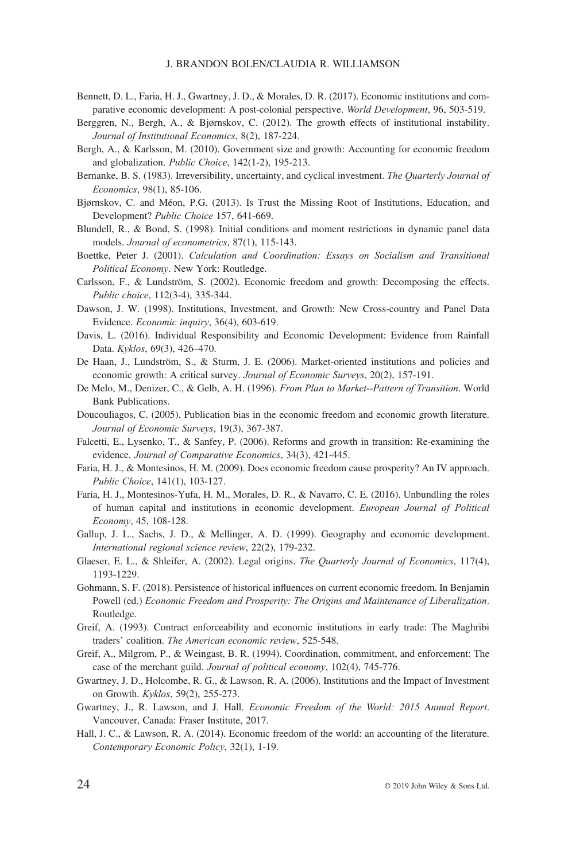- Bennett, D. L., Faria, H. J., Gwartney, J. D., & Morales, D. R. (2017). Economic institutions and comparative economic development: A post-colonial perspective. *World Development*, 96, 503-519.
- Berggren, N., Bergh, A., & Bjørnskov, C. (2012). The growth effects of institutional instability. *Journal of Institutional Economics*, 8(2), 187-224.
- Bergh, A., & Karlsson, M. (2010). Government size and growth: Accounting for economic freedom and globalization. *Public Choice*, 142(1-2), 195-213.
- Bernanke, B. S. (1983). Irreversibility, uncertainty, and cyclical investment. *The Quarterly Journal of Economics*, 98(1), 85-106.
- Bjørnskov, C. and Méon, P.G. (2013). Is Trust the Missing Root of Institutions, Education, and Development? *Public Choice* 157, 641-669.
- Blundell, R., & Bond, S. (1998). Initial conditions and moment restrictions in dynamic panel data models. *Journal of econometrics*, 87(1), 115-143.
- Boettke, Peter J. (2001). *Calculation and Coordination: Essays on Socialism and Transitional Political Economy*. New York: Routledge.
- Carlsson, F., & Lundström, S. (2002). Economic freedom and growth: Decomposing the effects. *Public choice*, 112(3-4), 335-344.
- Dawson, J. W. (1998). Institutions, Investment, and Growth: New Cross-country and Panel Data Evidence. *Economic inquiry*, 36(4), 603-619.
- Davis, L. (2016). Individual Responsibility and Economic Development: Evidence from Rainfall Data. *Kyklos*, 69(3), 426–470.
- De Haan, J., Lundström, S., & Sturm, J. E. (2006). Market-oriented institutions and policies and economic growth: A critical survey. *Journal of Economic Surveys*, 20(2), 157-191.
- De Melo, M., Denizer, C., & Gelb, A. H. (1996). *From Plan to Market--Pattern of Transition*. World Bank Publications.
- Doucouliagos, C. (2005). Publication bias in the economic freedom and economic growth literature. *Journal of Economic Surveys*, 19(3), 367-387.
- Falcetti, E., Lysenko, T., & Sanfey, P. (2006). Reforms and growth in transition: Re-examining the evidence. *Journal of Comparative Economics*, 34(3), 421-445.
- Faria, H. J., & Montesinos, H. M. (2009). Does economic freedom cause prosperity? An IV approach. *Public Choice*, 141(1), 103-127.
- Faria, H. J., Montesinos-Yufa, H. M., Morales, D. R., & Navarro, C. E. (2016). Unbundling the roles of human capital and institutions in economic development. *European Journal of Political Economy*, 45, 108-128.
- Gallup, J. L., Sachs, J. D., & Mellinger, A. D. (1999). Geography and economic development. *International regional science review*, 22(2), 179-232.
- Glaeser, E. L., & Shleifer, A. (2002). Legal origins. *The Quarterly Journal of Economics*, 117(4), 1193-1229.
- Gohmann, S. F. (2018). Persistence of historical influences on current economic freedom. In Benjamin Powell (ed.) *Economic Freedom and Prosperity: The Origins and Maintenance of Liberalization*. Routledge.
- Greif, A. (1993). Contract enforceability and economic institutions in early trade: The Maghribi traders' coalition. *The American economic review*, 525-548.
- Greif, A., Milgrom, P., & Weingast, B. R. (1994). Coordination, commitment, and enforcement: The case of the merchant guild. *Journal of political economy*, 102(4), 745-776.
- Gwartney, J. D., Holcombe, R. G., & Lawson, R. A. (2006). Institutions and the Impact of Investment on Growth. *Kyklos*, 59(2), 255-273.
- Gwartney, J., R. Lawson, and J. Hall. *Economic Freedom of the World: 2015 Annual Report*. Vancouver, Canada: Fraser Institute, 2017.
- Hall, J. C., & Lawson, R. A. (2014). Economic freedom of the world: an accounting of the literature. *Contemporary Economic Policy*, 32(1), 1-19.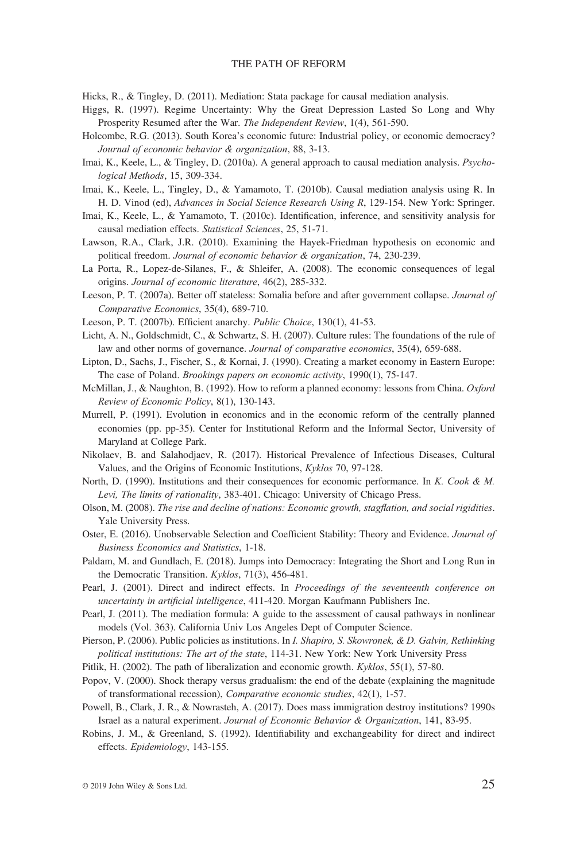Hicks, R., & Tingley, D. (2011). Mediation: Stata package for causal mediation analysis.

- Higgs, R. (1997). Regime Uncertainty: Why the Great Depression Lasted So Long and Why Prosperity Resumed after the War. *The Independent Review*, 1(4), 561-590.
- Holcombe, R.G. (2013). South Korea's economic future: Industrial policy, or economic democracy? *Journal of economic behavior & organization*, 88, 3-13.
- Imai, K., Keele, L., & Tingley, D. (2010a). A general approach to causal mediation analysis. *Psychological Methods*, 15, 309-334.
- Imai, K., Keele, L., Tingley, D., & Yamamoto, T. (2010b). Causal mediation analysis using R. In H. D. Vinod (ed), *Advances in Social Science Research Using R*, 129-154. New York: Springer.
- Imai, K., Keele, L., & Yamamoto, T. (2010c). Identification, inference, and sensitivity analysis for causal mediation effects. *Statistical Sciences*, 25, 51-71.
- Lawson, R.A., Clark, J.R. (2010). Examining the Hayek-Friedman hypothesis on economic and political freedom. *Journal of economic behavior & organization*, 74, 230-239.
- La Porta, R., Lopez-de-Silanes, F., & Shleifer, A. (2008). The economic consequences of legal origins. *Journal of economic literature*, 46(2), 285-332.
- Leeson, P. T. (2007a). Better off stateless: Somalia before and after government collapse. *Journal of Comparative Economics*, 35(4), 689-710.
- Leeson, P. T. (2007b). Efficient anarchy. *Public Choice*, 130(1), 41-53.
- Licht, A. N., Goldschmidt, C., & Schwartz, S. H. (2007). Culture rules: The foundations of the rule of law and other norms of governance. *Journal of comparative economics*, 35(4), 659-688.
- Lipton, D., Sachs, J., Fischer, S., & Kornai, J. (1990). Creating a market economy in Eastern Europe: The case of Poland. *Brookings papers on economic activity*, 1990(1), 75-147.
- McMillan, J., & Naughton, B. (1992). How to reform a planned economy: lessons from China. *Oxford Review of Economic Policy*, 8(1), 130-143.
- Murrell, P. (1991). Evolution in economics and in the economic reform of the centrally planned economies (pp. pp-35). Center for Institutional Reform and the Informal Sector, University of Maryland at College Park.
- Nikolaev, B. and Salahodjaev, R. (2017). Historical Prevalence of Infectious Diseases, Cultural Values, and the Origins of Economic Institutions, *Kyklos* 70, 97-128.
- North, D. (1990). Institutions and their consequences for economic performance. In *K. Cook & M. Levi, The limits of rationality*, 383-401. Chicago: University of Chicago Press.
- Olson, M. (2008). *The rise and decline of nations: Economic growth, stagflation, and social rigidities*. Yale University Press.
- Oster, E. (2016). Unobservable Selection and Coefficient Stability: Theory and Evidence. *Journal of Business Economics and Statistics*, 1-18.
- Paldam, M. and Gundlach, E. (2018). Jumps into Democracy: Integrating the Short and Long Run in the Democratic Transition. *Kyklos*, 71(3), 456-481.
- Pearl, J. (2001). Direct and indirect effects. In *Proceedings of the seventeenth conference on uncertainty in artificial intelligence*, 411-420. Morgan Kaufmann Publishers Inc.
- Pearl, J. (2011). The mediation formula: A guide to the assessment of causal pathways in nonlinear models (Vol. 363). California Univ Los Angeles Dept of Computer Science.
- Pierson, P. (2006). Public policies as institutions. In *I. Shapiro, S. Skowronek, & D. Galvin, Rethinking political institutions: The art of the state*, 114-31. New York: New York University Press
- Pitlik, H. (2002). The path of liberalization and economic growth. *Kyklos*, 55(1), 57-80.
- Popov, V. (2000). Shock therapy versus gradualism: the end of the debate (explaining the magnitude of transformational recession), *Comparative economic studies*, 42(1), 1-57.
- Powell, B., Clark, J. R., & Nowrasteh, A. (2017). Does mass immigration destroy institutions? 1990s Israel as a natural experiment. *Journal of Economic Behavior & Organization*, 141, 83-95.
- Robins, J. M., & Greenland, S. (1992). Identifiability and exchangeability for direct and indirect effects. *Epidemiology*, 143-155.